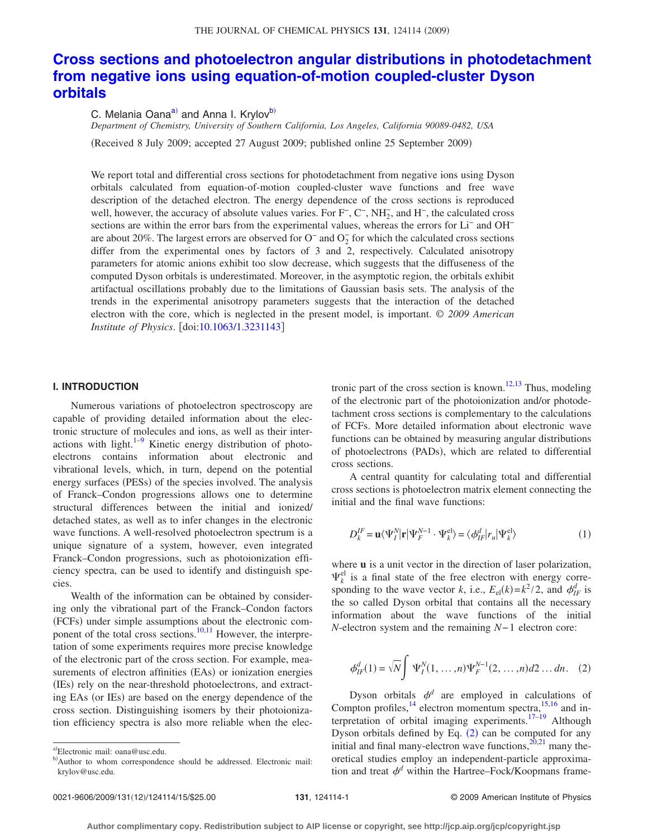# **[Cross sections and photoelectron angular distributions in photodetachment](http://dx.doi.org/10.1063/1.3231143) [from negative ions using equation-of-motion coupled-cluster Dyson](http://dx.doi.org/10.1063/1.3231143) [orbitals](http://dx.doi.org/10.1063/1.3231143)**

C. Melania Oana<sup>a)</sup> and Anna I. Krylov<sup>b)</sup>

*Department of Chemistry, University of Southern California, Los Angeles, California 90089-0482, USA*

Received 8 July 2009; accepted 27 August 2009; published online 25 September 2009-

We report total and differential cross sections for photodetachment from negative ions using Dyson orbitals calculated from equation-of-motion coupled-cluster wave functions and free wave description of the detached electron. The energy dependence of the cross sections is reproduced well, however, the accuracy of absolute values varies. For F<sup>-</sup>, C<sup>-</sup>, NH<sub>2</sub>, and H<sup>-</sup>, the calculated cross sections are within the error bars from the experimental values, whereas the errors for Li− and OH− are about 20%. The largest errors are observed for  $O<sup>-</sup>$  and  $O<sub>2</sub><sup>-</sup>$  for which the calculated cross sections differ from the experimental ones by factors of 3 and 2, respectively. Calculated anisotropy parameters for atomic anions exhibit too slow decrease, which suggests that the diffuseness of the computed Dyson orbitals is underestimated. Moreover, in the asymptotic region, the orbitals exhibit artifactual oscillations probably due to the limitations of Gaussian basis sets. The analysis of the trends in the experimental anisotropy parameters suggests that the interaction of the detached electron with the core, which is neglected in the present model, is important. © *2009 American Institute of Physics.* [doi[:10.1063/1.3231143](http://dx.doi.org/10.1063/1.3231143)]

### **I. INTRODUCTION**

Numerous variations of photoelectron spectroscopy are capable of providing detailed information about the electronic structure of molecules and ions, as well as their interactions with light. $1-9$  Kinetic energy distribution of photoelectrons contains information about electronic and vibrational levels, which, in turn, depend on the potential energy surfaces (PESs) of the species involved. The analysis of Franck–Condon progressions allows one to determine structural differences between the initial and ionized/ detached states, as well as to infer changes in the electronic wave functions. A well-resolved photoelectron spectrum is a unique signature of a system, however, even integrated Franck–Condon progressions, such as photoionization efficiency spectra, can be used to identify and distinguish species.

Wealth of the information can be obtained by considering only the vibrational part of the Franck–Condon factors (FCFs) under simple assumptions about the electronic com-ponent of the total cross sections.<sup>10[,11](#page-12-3)</sup> However, the interpretation of some experiments requires more precise knowledge of the electronic part of the cross section. For example, measurements of electron affinities (EAs) or ionization energies (IEs) rely on the near-threshold photoelectrons, and extracting EAs (or IEs) are based on the energy dependence of the cross section. Distinguishing isomers by their photoionization efficiency spectra is also more reliable when the electronic part of the cross section is known.<sup>12,[13](#page-13-0)</sup> Thus, modeling of the electronic part of the photoionization and/or photodetachment cross sections is complementary to the calculations of FCFs. More detailed information about electronic wave functions can be obtained by measuring angular distributions of photoelectrons (PADs), which are related to differential cross sections.

A central quantity for calculating total and differential cross sections is photoelectron matrix element connecting the initial and the final wave functions:

<span id="page-0-3"></span>
$$
D_k^{IF} = \mathbf{u} \langle \Psi_I^N | \mathbf{r} | \Psi_F^{N-1} \cdot \Psi_k^{\text{el}} \rangle = \langle \phi_{IF}^d | r_u | \Psi_k^{\text{el}} \rangle \tag{1}
$$

where **u** is a unit vector in the direction of laser polarization,  $\Psi_k^{\text{el}}$  is a final state of the free electron with energy corresponding to the wave vector *k*, i.e.,  $E_{el}(k) = k^2 / 2$ , and  $\phi_{IF}^d$  is the so called Dyson orbital that contains all the necessary information about the wave functions of the initial *N*-electron system and the remaining *N*−1 electron core:

<span id="page-0-2"></span>
$$
\phi_{IF}^d(1) = \sqrt{N} \int \Psi_I^N(1, ..., n) \Psi_F^{N-1}(2, ..., n) d2 ... dn.
$$
 (2)

Dyson orbitals  $\phi^d$  are employed in calculations of Compton profiles,  $^{14}$  electron momentum spectra,  $^{15,16}$  $^{15,16}$  $^{15,16}$  and in-terpretation of orbital imaging experiments.<sup>17–[19](#page-13-5)</sup> Although Dyson orbitals defined by Eq.  $(2)$  $(2)$  $(2)$  can be computed for any initial and final many-electron wave functions, $20,21$  $20,21$  many theoretical studies employ an independent-particle approximation and treat  $\phi^d$  within the Hartree–Fock/Koopmans frame-

<span id="page-0-0"></span>a)Electronic mail: oana@usc.edu.

<span id="page-0-1"></span>b)Author to whom correspondence should be addressed. Electronic mail: krylov@usc.edu.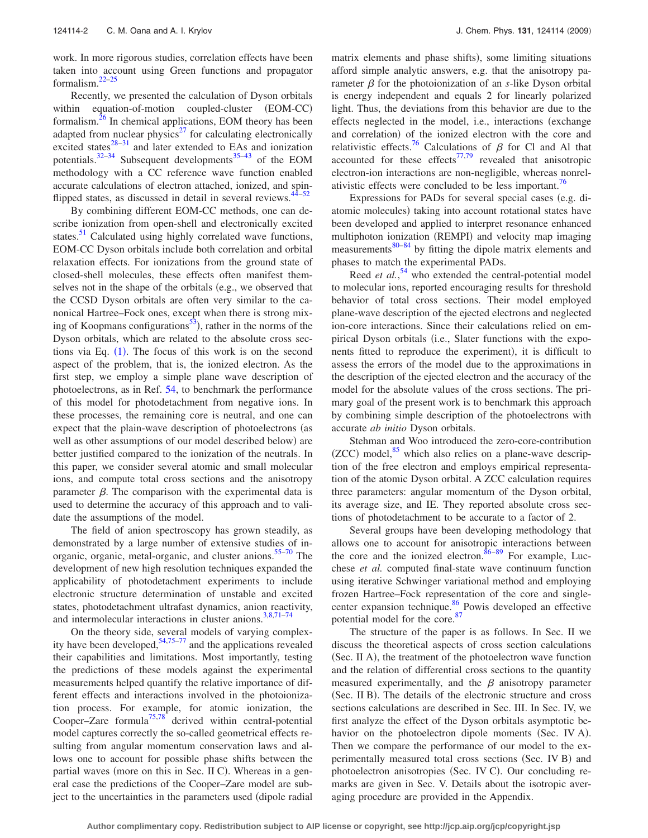work. In more rigorous studies, correlation effects have been taken into account using Green functions and propagator formalism[.22–](#page-13-8)[25](#page-13-9)

Recently, we presented the calculation of Dyson orbitals within equation-of-motion coupled-cluster (EOM-CC) formalism.<sup>26</sup> In chemical applications, EOM theory has been adapted from nuclear physics $^{27}$  for calculating electronically excited states $28-31$  and later extended to EAs and ionization potentials. $32-34$  Subsequent developments<sup>35–[43](#page-13-17)</sup> of the EOM methodology with a CC reference wave function enabled accurate calculations of electron attached, ionized, and spinflipped states, as discussed in detail in several reviews.<sup>44-52</sup>

By combining different EOM-CC methods, one can describe ionization from open-shell and electronically excited states. $51$  Calculated using highly correlated wave functions, EOM-CC Dyson orbitals include both correlation and orbital relaxation effects. For ionizations from the ground state of closed-shell molecules, these effects often manifest themselves not in the shape of the orbitals (e.g., we observed that the CCSD Dyson orbitals are often very similar to the canonical Hartree–Fock ones, except when there is strong mixing of Koopmans configurations<sup>53</sup>), rather in the norms of the Dyson orbitals, which are related to the absolute cross sections via Eq.  $(1)$  $(1)$  $(1)$ . The focus of this work is on the second aspect of the problem, that is, the ionized electron. As the first step, we employ a simple plane wave description of photoelectrons, as in Ref. [54,](#page-13-22) to benchmark the performance of this model for photodetachment from negative ions. In these processes, the remaining core is neutral, and one can expect that the plain-wave description of photoelectrons (as well as other assumptions of our model described below) are better justified compared to the ionization of the neutrals. In this paper, we consider several atomic and small molecular ions, and compute total cross sections and the anisotropy parameter  $\beta$ . The comparison with the experimental data is used to determine the accuracy of this approach and to validate the assumptions of the model.

The field of anion spectroscopy has grown steadily, as demonstrated by a large number of extensive studies of in-organic, organic, metal-organic, and cluster anions.<sup>55–[70](#page-13-24)</sup> The development of new high resolution techniques expanded the applicability of photodetachment experiments to include electronic structure determination of unstable and excited states, photodetachment ultrafast dynamics, anion reactivity, and intermolecular interactions in cluster anions. $3,8,71-74$  $3,8,71-74$  $3,8,71-74$  $3,8,71-74$ 

On the theory side, several models of varying complexity have been developed,  $54,75-77$  $54,75-77$  and the applications revealed their capabilities and limitations. Most importantly, testing the predictions of these models against the experimental measurements helped quantify the relative importance of different effects and interactions involved in the photoionization process. For example, for atomic ionization, the Cooper–Zare formula<sup>75[,78](#page-13-29)</sup> derived within central-potential model captures correctly the so-called geometrical effects resulting from angular momentum conservation laws and allows one to account for possible phase shifts between the partial waves (more on this in Sec. II C). Whereas in a general case the predictions of the Cooper–Zare model are subject to the uncertainties in the parameters used (dipole radial

matrix elements and phase shifts), some limiting situations afford simple analytic answers, e.g. that the anisotropy parameter  $\beta$  for the photoionization of an *s*-like Dyson orbital is energy independent and equals 2 for linearly polarized light. Thus, the deviations from this behavior are due to the effects neglected in the model, i.e., interactions (exchange and correlation) of the ionized electron with the core and relativistic effects.<sup>76</sup> Calculations of  $\beta$  for Cl and Al that accounted for these effects<sup> $77,79$  $77,79$ </sup> revealed that anisotropic electron-ion interactions are non-negligible, whereas nonrelativistic effects were concluded to be less important.<sup>76</sup>

Expressions for PADs for several special cases (e.g. diatomic molecules) taking into account rotational states have been developed and applied to interpret resonance enhanced multiphoton ionization (REMPI) and velocity map imaging measurements $80-84$  $80-84$  by fitting the dipole matrix elements and phases to match the experimental PADs.

Reed *et al.*<sup>[54](#page-13-22)</sup> who extended the central-potential model to molecular ions, reported encouraging results for threshold behavior of total cross sections. Their model employed plane-wave description of the ejected electrons and neglected ion-core interactions. Since their calculations relied on empirical Dyson orbitals (i.e., Slater functions with the exponents fitted to reproduce the experiment), it is difficult to assess the errors of the model due to the approximations in the description of the ejected electron and the accuracy of the model for the absolute values of the cross sections. The primary goal of the present work is to benchmark this approach by combining simple description of the photoelectrons with accurate *ab initio* Dyson orbitals.

Stehman and Woo introduced the zero-core-contribution  $(ZCC)$  model, $85$  which also relies on a plane-wave description of the free electron and employs empirical representation of the atomic Dyson orbital. A ZCC calculation requires three parameters: angular momentum of the Dyson orbital, its average size, and IE. They reported absolute cross sections of photodetachment to be accurate to a factor of 2.

Several groups have been developing methodology that allows one to account for anisotropic interactions between the core and the ionized electron.  $86-89$  $86-89$  For example, Lucchese *et al.* computed final-state wave continuum function using iterative Schwinger variational method and employing frozen Hartree–Fock representation of the core and singlecenter expansion technique.<sup>86</sup> Powis developed an effective potential model for the core.<sup>87</sup>

The structure of the paper is as follows. In Sec. II we discuss the theoretical aspects of cross section calculations (Sec. II A), the treatment of the photoelectron wave function and the relation of differential cross sections to the quantity measured experimentally, and the  $\beta$  anisotropy parameter (Sec. II B). The details of the electronic structure and cross sections calculations are described in Sec. III. In Sec. IV, we first analyze the effect of the Dyson orbitals asymptotic behavior on the photoelectron dipole moments (Sec. IV A). Then we compare the performance of our model to the experimentally measured total cross sections (Sec. IV B) and photoelectron anisotropies (Sec. IV C). Our concluding remarks are given in Sec. V. Details about the isotropic averaging procedure are provided in the Appendix.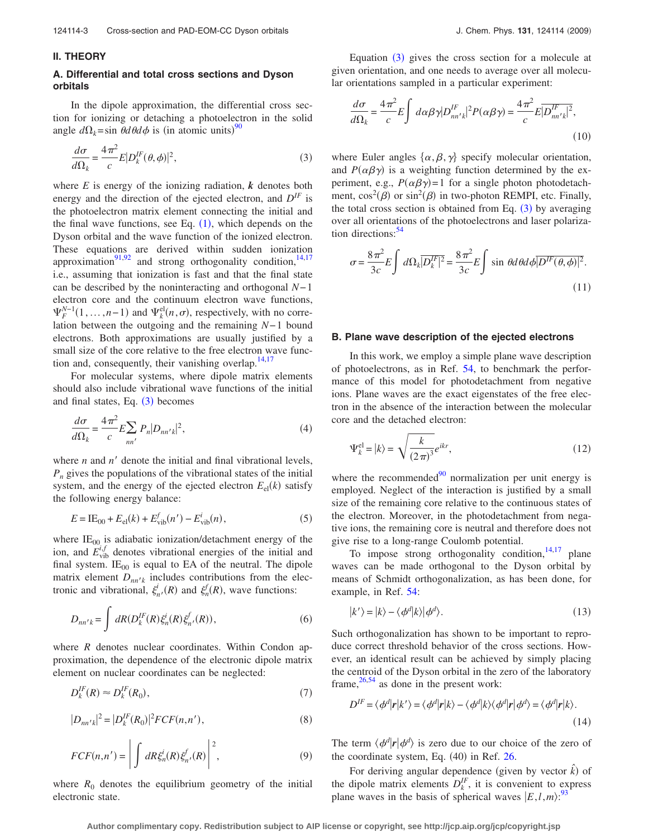#### **II. THEORY**

## **A. Differential and total cross sections and Dyson orbitals**

In the dipole approximation, the differential cross section for ionizing or detaching a photoelectron in the solid angle  $d\Omega_k = \sin \theta d\theta d\phi$  is (in atomic units)<sup>[90](#page-13-38)</sup>

<span id="page-2-0"></span>
$$
\frac{d\sigma}{d\Omega_k} = \frac{4\pi^2}{c} E|D_k^{IF}(\theta, \phi)|^2,
$$
\n(3)

where  $E$  is energy of the ionizing radiation,  $k$  denotes both energy and the direction of the ejected electron, and  $D^{IF}$  is the photoelectron matrix element connecting the initial and the final wave functions, see Eq.  $(1)$  $(1)$  $(1)$ , which depends on the Dyson orbital and the wave function of the ionized electron. These equations are derived within sudden ionization approximation<sup>91[,92](#page-13-40)</sup> and strong orthogonality condition,<sup>14,[17](#page-13-4)</sup> i.e., assuming that ionization is fast and that the final state can be described by the noninteracting and orthogonal *N*−1 electron core and the continuum electron wave functions,  $\Psi_F^{N-1}(1,\ldots,n-1)$  and  $\Psi_k^{\text{el}}(n,\sigma)$ , respectively, with no correlation between the outgoing and the remaining *N*−1 bound electrons. Both approximations are usually justified by a small size of the core relative to the free electron wave function and, consequently, their vanishing overlap. $14,17$  $14,17$ 

For molecular systems, where dipole matrix elements should also include vibrational wave functions of the initial and final states, Eq.  $(3)$  $(3)$  $(3)$  becomes

$$
\frac{d\sigma}{d\Omega_k} = \frac{4\pi^2}{c} E \sum_{nn'} P_n |D_{nn'k}|^2,
$$
\n(4)

where  $n$  and  $n'$  denote the initial and final vibrational levels, *Pn* gives the populations of the vibrational states of the initial system, and the energy of the ejected electron  $E_{el}(k)$  satisfy the following energy balance:

$$
E = \text{IE}_{00} + E_{\text{el}}(k) + E_{\text{vib}}^{f}(n') - E_{\text{vib}}^{i}(n),\tag{5}
$$

where  $IE_{00}$  is adiabatic ionization/detachment energy of the ion, and  $E_{\text{vib}}^{i,f}$  denotes vibrational energies of the initial and final system.  $IE_{00}$  is equal to EA of the neutral. The dipole matrix element  $D_{nn'k}$  includes contributions from the electronic and vibrational,  $\xi_n^i(R)$  and  $\xi_n^f(R)$ , wave functions:

$$
D_{nn'k} = \int dR(D_k^{IF}(R)\xi_n^i(R)\xi_{n'}^f(R)),
$$
\n(6)

where *R* denotes nuclear coordinates. Within Condon approximation, the dependence of the electronic dipole matrix element on nuclear coordinates can be neglected:

$$
D_k^{IF}(R) \approx D_k^{IF}(R_0),\tag{7}
$$

$$
|D_{nn'k}|^2 = |D_k^{IF}(R_0)|^2 FCF(n,n'),\tag{8}
$$

<span id="page-2-3"></span>
$$
FCF(n,n') = \left| \int dR \xi_n^i(R) \xi_{n'}^f(R) \right|^2, \tag{9}
$$

where  $R_0$  denotes the equilibrium geometry of the initial electronic state.

Equation  $(3)$  $(3)$  $(3)$  gives the cross section for a molecule at given orientation, and one needs to average over all molecular orientations sampled in a particular experiment:

<span id="page-2-2"></span>
$$
\frac{d\sigma}{d\Omega_k} = \frac{4\pi^2}{c} E \int d\alpha \beta \gamma |D_{nn'k}^{IF}|^2 P(\alpha \beta \gamma) = \frac{4\pi^2}{c} E \overline{|D_{nn'k}^{IF}|^2},\tag{10}
$$

where Euler angles  $\{\alpha, \beta, \gamma\}$  specify molecular orientation, and  $P(\alpha\beta\gamma)$  is a weighting function determined by the experiment, e.g.,  $P(\alpha\beta\gamma) = 1$  for a single photon photodetachment,  $\cos^2(\beta)$  or  $\sin^2(\beta)$  in two-photon REMPI, etc. Finally, the total cross section is obtained from Eq.  $(3)$  $(3)$  $(3)$  by averaging over all orientations of the photoelectrons and laser polarization directions: $54$ 

<span id="page-2-1"></span>
$$
\sigma = \frac{8\pi^2}{3c} E \int d\Omega_k \overline{|D_k^{\prime F}|^2} = \frac{8\pi^2}{3c} E \int \sin\theta d\theta d\phi \overline{|D^{\prime F}(\theta,\phi)|^2}.
$$
\n(11)

#### **B. Plane wave description of the ejected electrons**

In this work, we employ a simple plane wave description of photoelectrons, as in Ref. [54,](#page-13-22) to benchmark the performance of this model for photodetachment from negative ions. Plane waves are the exact eigenstates of the free electron in the absence of the interaction between the molecular core and the detached electron:

$$
\Psi_k^{\text{el}} = |k\rangle = \sqrt{\frac{k}{(2\pi)^3}} e^{ikr},\tag{12}
$$

where the recommended $90$  normalization per unit energy is employed. Neglect of the interaction is justified by a small size of the remaining core relative to the continuous states of the electron. Moreover, in the photodetachment from negative ions, the remaining core is neutral and therefore does not give rise to a long-range Coulomb potential.

To impose strong orthogonality condition,  $14,17$  $14,17$  plane waves can be made orthogonal to the Dyson orbital by means of Schmidt orthogonalization, as has been done, for example, in Ref. [54:](#page-13-22)

$$
|k'\rangle = |k\rangle - \langle \phi^d |k\rangle | \phi^d\rangle. \tag{13}
$$

Such orthogonalization has shown to be important to reproduce correct threshold behavior of the cross sections. However, an identical result can be achieved by simply placing the centroid of the Dyson orbital in the zero of the laboratory frame,  $26,54$  $26,54$  as done in the present work:

$$
D^{IF} = \langle \phi^d | \mathbf{r} | k' \rangle = \langle \phi^d | \mathbf{r} | k \rangle - \langle \phi^d | k \rangle \langle \phi^d | \mathbf{r} | \phi^d \rangle = \langle \phi^d | \mathbf{r} | k \rangle.
$$
\n(14)

The term  $\langle \phi^d | r | \phi^d \rangle$  is zero due to our choice of the zero of the coordinate system, Eq.  $(40)$  in Ref. [26.](#page-13-10)

For deriving angular dependence (given by vector  $\hat{k}$ ) of the dipole matrix elements  $D_k^{IF}$ , it is convenient to express plane waves in the basis of spherical waves  $|E, l, m$ : <sup>[93](#page-13-41)</sup>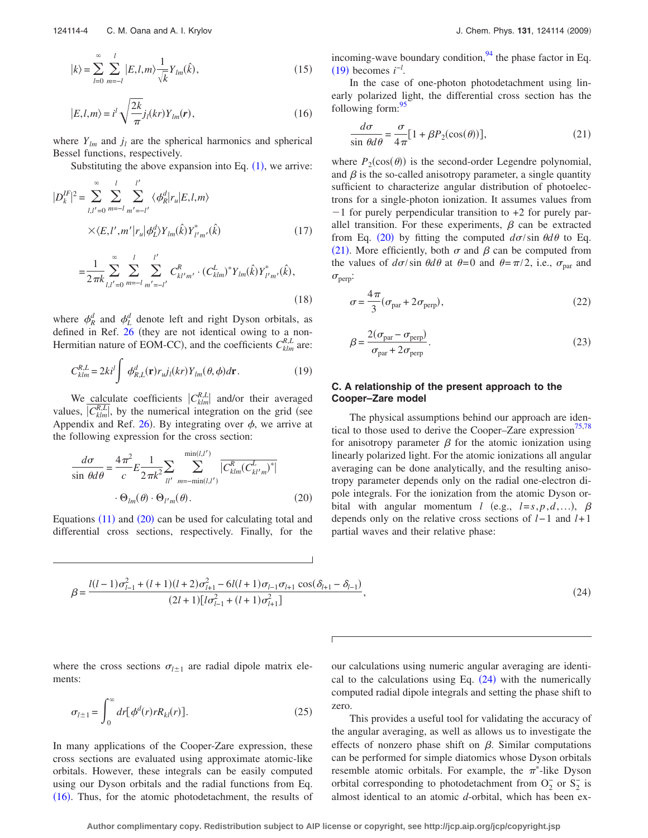$$
|k\rangle = \sum_{l=0}^{\infty} \sum_{m=-l}^{l} |E, l, m\rangle \frac{1}{\sqrt{k}} Y_{lm}(\hat{k}),
$$
\n(15)

<span id="page-3-3"></span>
$$
|E, l, m\rangle = i^l \sqrt{\frac{2k}{\pi}} j_l(kr) Y_{lm}(r), \qquad (16)
$$

where  $Y_{lm}$  and  $j_l$  are the spherical harmonics and spherical Bessel functions, respectively.

Substituting the above expansion into Eq.  $(1)$  $(1)$  $(1)$ , we arrive:

$$
|D_{k}^{IF}|^{2} = \sum_{l,l'=0}^{\infty} \sum_{m=-l}^{l} \sum_{m'=-l'}^{l'} \langle \phi_{R}^{d} | r_{u} | E, l, m \rangle
$$
  
 
$$
\times \langle E, l', m' | r_{u} | \phi_{L}^{d} \rangle Y_{lm}(\hat{k}) Y_{l'm'}^{*}(\hat{k})
$$
 (17)

<span id="page-3-8"></span>
$$
=\frac{1}{2\pi k} \sum_{l,l'=0}^{\infty} \sum_{m=-l}^{l} \sum_{m'=-l'}^{l'} C_{kl'm'}^{R} \cdot (C_{klm}^{L})^* Y_{lm}(\hat{k}) Y_{l'm'}^{*}(\hat{k}),
$$
\n(18)

where  $\phi_R^d$  and  $\phi_L^d$  denote left and right Dyson orbitals, as defined in Ref.  $26$  (they are not identical owing to a non-Hermitian nature of EOM-CC), and the coefficients  $C_{klm}^{R,L}$  are:

<span id="page-3-1"></span>
$$
C_{klm}^{R,L} = 2ki^l \int \phi_{R,L}^d(\mathbf{r}) r_{u} j_l(kr) Y_{lm}(\theta, \phi) d\mathbf{r}.
$$
 (19)

We calculate coefficients  $|C_{klm}^{R,L}|$  and/or their averaged values,  $\overline{C_{klm}^{R,L}}$ , by the numerical integration on the grid (see Appendix and Ref. [26](#page-13-10)). By integrating over  $\phi$ , we arrive at the following expression for the cross section:

<span id="page-3-0"></span>
$$
\frac{d\sigma}{\sin\theta d\theta} = \frac{4\pi^2}{c} E \frac{1}{2\pi k^2} \sum_{ll'} \sum_{m=-\min(l,l')}^{\min(l,l')} \overline{|C_{klm}^R (C_{kl'm}^L)^*|}
$$

$$
\cdot \Theta_{lm}(\theta) \cdot \Theta_{l'm}(\theta). \tag{20}
$$

Equations  $(11)$  $(11)$  $(11)$  and  $(20)$  $(20)$  $(20)$  can be used for calculating total and differential cross sections, respectively. Finally, for the incoming-wave boundary condition,  $94$  the phase factor in Eq.  $(19)$  $(19)$  $(19)$  becomes  $i^{-l}$ .

In the case of one-photon photodetachment using linearly polarized light, the differential cross section has the following form:  $\frac{95}{2}$ 

<span id="page-3-2"></span>
$$
\frac{d\sigma}{\sin\theta d\theta} = \frac{\sigma}{4\pi} [1 + \beta P_2(\cos(\theta))],\tag{21}
$$

where  $P_2(\cos(\theta))$  is the second-order Legendre polynomial, and  $\beta$  is the so-called anisotropy parameter, a single quantity sufficient to characterize angular distribution of photoelectrons for a single-photon ionization. It assumes values from  $-1$  for purely perpendicular transition to  $+2$  for purely parallel transition. For these experiments,  $\beta$  can be extracted from Eq. ([20](#page-3-0)) by fitting the computed  $d\sigma/\sin \theta d\theta$  to Eq. ([21](#page-3-2)). More efficiently, both  $\sigma$  and  $\beta$  can be computed from the values of  $d\sigma/\sin \theta d\theta$  at  $\theta=0$  and  $\theta=\pi/2$ , i.e.,  $\sigma_{\text{par}}$  and  $\sigma_{\text{perp}}$ :

<span id="page-3-5"></span>
$$
\sigma = \frac{4\pi}{3} (\sigma_{\text{par}} + 2\sigma_{\text{perp}}),\tag{22}
$$

<span id="page-3-6"></span>
$$
\beta = \frac{2(\sigma_{\text{par}} - \sigma_{\text{perp}})}{\sigma_{\text{par}} + 2\sigma_{\text{perp}}}.
$$
\n(23)

## **C. A relationship of the present approach to the Cooper–Zare model**

The physical assumptions behind our approach are iden-tical to those used to derive the Cooper–Zare expression<sup>75[,78](#page-13-29)</sup> for anisotropy parameter  $\beta$  for the atomic ionization using linearly polarized light. For the atomic ionizations all angular averaging can be done analytically, and the resulting anisotropy parameter depends only on the radial one-electron dipole integrals. For the ionization from the atomic Dyson orbital with angular momentum *l* (e.g.,  $l = s, p, d, ...$ ),  $\beta$ depends only on the relative cross sections of *l*−1 and *l*+1 partial waves and their relative phase:

<span id="page-3-4"></span>
$$
\beta = \frac{l(l-1)\sigma_{l-1}^2 + (l+1)(l+2)\sigma_{l+1}^2 - 6l(l+1)\sigma_{l-1}\sigma_{l+1}\cos(\delta_{l+1} - \delta_{l-1})}{(2l+1)[l\sigma_{l-1}^2 + (l+1)\sigma_{l+1}^2]},
$$
\n(24)

where the cross sections  $\sigma_{l\pm 1}$  are radial dipole matrix elements:

<span id="page-3-7"></span>
$$
\sigma_{l\pm 1} = \int_0^\infty dr \big[ \phi^d(r) r R_{kl}(r) \big]. \tag{25}
$$

In many applications of the Cooper-Zare expression, these cross sections are evaluated using approximate atomic-like orbitals. However, these integrals can be easily computed using our Dyson orbitals and the radial functions from Eq. ([16](#page-3-3)). Thus, for the atomic photodetachment, the results of

our calculations using numeric angular averaging are identical to the calculations using Eq.  $(24)$  $(24)$  $(24)$  with the numerically computed radial dipole integrals and setting the phase shift to zero.

This provides a useful tool for validating the accuracy of the angular averaging, as well as allows us to investigate the effects of nonzero phase shift on  $\beta$ . Similar computations can be performed for simple diatomics whose Dyson orbitals resemble atomic orbitals. For example, the  $\pi^*$ -like Dyson orbital corresponding to photodetachment from  $O_2^-$  or  $S_2^-$  is almost identical to an atomic *d*-orbital, which has been ex-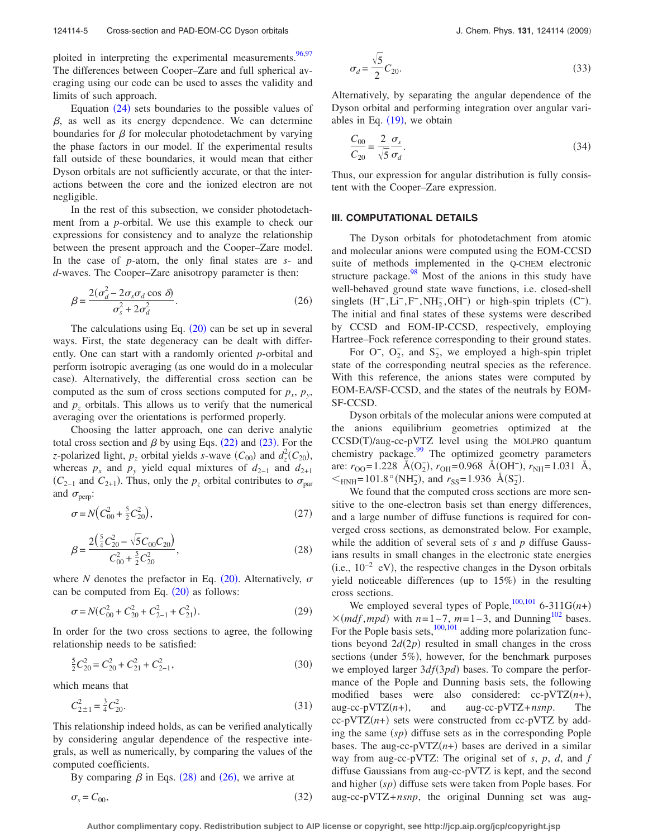ploited in interpreting the experimental measurements.  $96,97$  $96,97$ The differences between Cooper–Zare and full spherical averaging using our code can be used to asses the validity and limits of such approach.

Equation  $(24)$  $(24)$  $(24)$  sets boundaries to the possible values of  $\beta$ , as well as its energy dependence. We can determine boundaries for  $\beta$  for molecular photodetachment by varying the phase factors in our model. If the experimental results fall outside of these boundaries, it would mean that either Dyson orbitals are not sufficiently accurate, or that the interactions between the core and the ionized electron are not negligible.

In the rest of this subsection, we consider photodetachment from a *p*-orbital. We use this example to check our expressions for consistency and to analyze the relationship between the present approach and the Cooper–Zare model. In the case of *p*-atom, the only final states are *s*- and *d*-waves. The Cooper–Zare anisotropy parameter is then:

<span id="page-4-1"></span>
$$
\beta = \frac{2(\sigma_d^2 - 2\sigma_s \sigma_d \cos \delta)}{\sigma_s^2 + 2\sigma_d^2}.
$$
\n(26)

The calculations using Eq.  $(20)$  $(20)$  $(20)$  can be set up in several ways. First, the state degeneracy can be dealt with differently. One can start with a randomly oriented *p*-orbital and perform isotropic averaging (as one would do in a molecular case). Alternatively, the differential cross section can be computed as the sum of cross sections computed for  $p_x$ ,  $p_y$ , and  $p<sub>z</sub>$  orbitals. This allows us to verify that the numerical averaging over the orientations is performed properly.

Choosing the latter approach, one can derive analytic total cross section and  $\beta$  by using Eqs. ([22](#page-3-5)) and ([23](#page-3-6)). For the *z*-polarized light,  $p_z$  orbital yields *s*-wave  $(C_{00})$  and  $d_z^2(C_{20})$ , whereas  $p_x$  and  $p_y$  yield equal mixtures of  $d_{2-1}$  and  $d_{2+1}$  $(C_{2-1}$  and  $C_{2+1}$ ). Thus, only the  $p_z$  orbital contributes to  $\sigma_{\text{par}}$ and  $\sigma_{\text{perp}}$ :

$$
\sigma = N \Big( C_{00}^2 + \frac{5}{2} C_{20}^2 \Big), \tag{27}
$$

<span id="page-4-0"></span>
$$
\beta = \frac{2(\frac{5}{4}C_{20}^2 - \sqrt{5}C_{00}C_{20})}{C_{00}^2 + \frac{5}{2}C_{20}^2},
$$
\n(28)

where *N* denotes the prefactor in Eq.  $(20)$  $(20)$  $(20)$ . Alternatively,  $\sigma$ can be computed from Eq.  $(20)$  $(20)$  $(20)$  as follows:

$$
\sigma = N(C_{00}^2 + C_{20}^2 + C_{2-1}^2 + C_{21}^2). \tag{29}
$$

In order for the two cross sections to agree, the following relationship needs to be satisfied:

$$
\frac{5}{2}C_{20}^2 = C_{20}^2 + C_{21}^2 + C_{2-1}^2,\tag{30}
$$

which means that

$$
C_{2\pm 1}^2 = \frac{3}{4}C_{20}^2.
$$
 (31)

This relationship indeed holds, as can be verified analytically by considering angular dependence of the respective integrals, as well as numerically, by comparing the values of the computed coefficients.

By comparing  $\beta$  in Eqs. ([28](#page-4-0)) and ([26](#page-4-1)), we arrive at

$$
\sigma_s = C_{00},\tag{32}
$$

$$
\sigma_d = \frac{\sqrt{5}}{2} C_{20}.\tag{33}
$$

Alternatively, by separating the angular dependence of the Dyson orbital and performing integration over angular variables in Eq.  $(19)$  $(19)$  $(19)$ , we obtain

$$
\frac{C_{00}}{C_{20}} = \frac{2}{\sqrt{5}} \frac{\sigma_s}{\sigma_d}.
$$
\n(34)

Thus, our expression for angular distribution is fully consistent with the Cooper–Zare expression.

### **III. COMPUTATIONAL DETAILS**

The Dyson orbitals for photodetachment from atomic and molecular anions were computed using the EOM-CCSD suite of methods implemented in the Q-CHEM electronic structure package. $98$  Most of the anions in this study have well-behaved ground state wave functions, i.e. closed-shell singlets  $(H^-, Li^-, F^-, NH_2^-, OH^-)$  or high-spin triplets  $(C^-)$ . The initial and final states of these systems were described by CCSD and EOM-IP-CCSD, respectively, employing Hartree–Fock reference corresponding to their ground states.

For  $O^-$ ,  $O_2^-$ , and  $S_2^-$ , we employed a high-spin triplet state of the corresponding neutral species as the reference. With this reference, the anions states were computed by EOM-EA/SF-CCSD, and the states of the neutrals by EOM-SF-CCSD.

Dyson orbitals of the molecular anions were computed at the anions equilibrium geometries optimized at the  $CCSD(T)/aug-cc-pVTZ$  level using the MOLPRO quantum chemistry package. $99$  The optimized geometry parameters are: *r*<sub>OO</sub>=1.228 Å(O<sub>2</sub>), *r*<sub>OH</sub>=0.968 Å(OH<sup>−</sup>), *r*<sub>NH</sub>=1.031 Å,  $\leq_{\text{HNH}} = 101.8^{\circ}(\text{NH}_2), \text{ and } r_{\text{SS}} = 1.936 \text{ Å}(S_2).$ 

We found that the computed cross sections are more sensitive to the one-electron basis set than energy differences, and a large number of diffuse functions is required for converged cross sections, as demonstrated below. For example, while the addition of several sets of *s* and *p* diffuse Gaussians results in small changes in the electronic state energies  $(i.e., 10^{-2}$  eV), the respective changes in the Dyson orbitals yield noticeable differences (up to  $15\%$ ) in the resulting cross sections.

We employed several types of Pople,  $^{100,101}$  $^{100,101}$  $^{100,101}$  6-311G(*n*+)  $\times$ (*mdf*, *mpd*) with *n*=1–7, *m*=1–3, and Dunning<sup>102</sup> bases. For the Pople basis sets, $\frac{100,101}{100}$  $\frac{100,101}{100}$  $\frac{100,101}{100}$  adding more polarization functions beyond  $2d(2p)$  resulted in small changes in the cross sections (under 5%), however, for the benchmark purposes we employed larger  $3df(3pd)$  bases. To compare the performance of the Pople and Dunning basis sets, the following modified bases were also considered:  $cc-pVTZ(n+)$ , aug-cc-pVT $Z(n+)$ , , and aug-cc-pVTZ+*nsnp*. The  $cc$ -pVTZ $(n+)$  sets were constructed from  $cc$ -pVTZ by adding the same  $(sp)$  diffuse sets as in the corresponding Pople bases. The aug-cc-pVTZ $(n+)$  bases are derived in a similar way from aug-cc-pVTZ: The original set of *s*, *p*, *d*, and *f* diffuse Gaussians from aug-cc-pVTZ is kept, and the second and higher (sp) diffuse sets were taken from Pople bases. For aug-cc-pVTZ+*nsnp*, the original Dunning set was aug-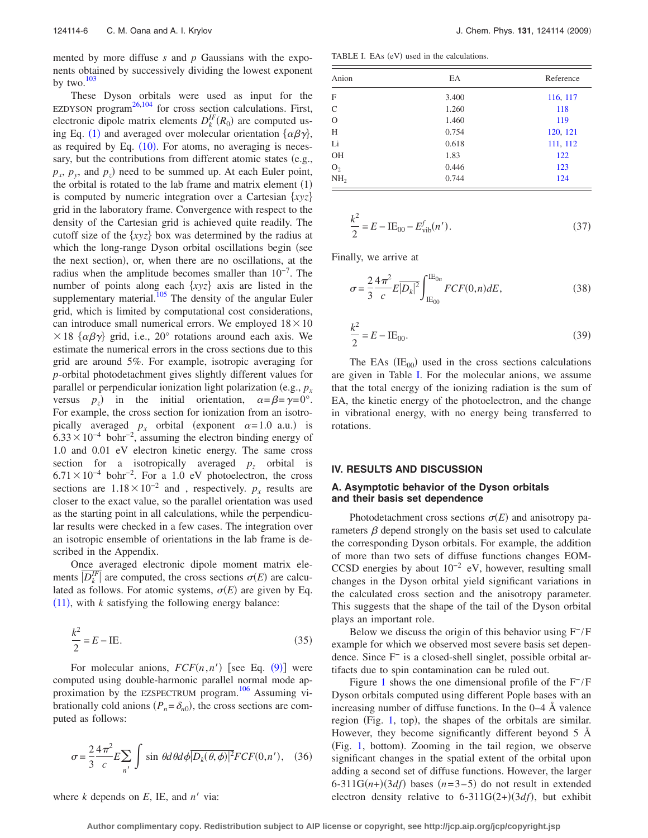mented by more diffuse *s* and *p* Gaussians with the exponents obtained by successively dividing the lowest exponent by two. $103$ 

These Dyson orbitals were used as input for the EZDYSON program<sup>[26,](#page-13-10)[104](#page-14-5)</sup> for cross section calculations. First, electronic dipole matrix elements  $D_k^{IF}(R_0)$  are computed us-ing Eq. ([1](#page-0-3)) and averaged over molecular orientation  $\{\alpha\beta\gamma\}$ , as required by Eq.  $(10)$  $(10)$  $(10)$ . For atoms, no averaging is necessary, but the contributions from different atomic states (e.g.,  $p_x$ ,  $p_y$ , and  $p_z$ ) need to be summed up. At each Euler point, the orbital is rotated to the lab frame and matrix element  $(1)$ is computed by numeric integration over a Cartesian  $\{xyz\}$ grid in the laboratory frame. Convergence with respect to the density of the Cartesian grid is achieved quite readily. The cutoff size of the  $\{xyz\}$  box was determined by the radius at which the long-range Dyson orbital oscillations begin (see the next section), or, when there are no oscillations, at the radius when the amplitude becomes smaller than  $10^{-7}$ . The number of points along each  $\{xyz\}$  axis are listed in the supplementary material.<sup>105</sup> The density of the angular Euler grid, which is limited by computational cost considerations, can introduce small numerical errors. We employed  $18 \times 10$  $\times$  18  $\{\alpha\beta\gamma\}$  grid, i.e., 20° rotations around each axis. We estimate the numerical errors in the cross sections due to this grid are around 5%. For example, isotropic averaging for *p*-orbital photodetachment gives slightly different values for parallel or perpendicular ionization light polarization (e.g.,  $p_x$ ) versus  $p_z$ ) in the initial orientation,  $\alpha = \beta = \gamma = 0^\circ$ . For example, the cross section for ionization from an isotropically averaged  $p_x$  orbital (exponent  $\alpha = 1.0$  a.u.) is  $6.33 \times 10^{-4}$  bohr<sup>-2</sup>, assuming the electron binding energy of 1.0 and 0.01 eV electron kinetic energy. The same cross section for a isotropically averaged  $p<sub>z</sub>$  orbital is  $6.71 \times 10^{-4}$  bohr<sup>-2</sup>. For a 1.0 eV photoelectron, the cross sections are  $1.18 \times 10^{-2}$  and , respectively. *p<sub>x</sub>* results are closer to the exact value, so the parallel orientation was used as the starting point in all calculations, while the perpendicular results were checked in a few cases. The integration over an isotropic ensemble of orientations in the lab frame is described in the Appendix.

Once averaged electronic dipole moment matrix elements  $\overline{D_k^H}$  are computed, the cross sections  $\sigma(E)$  are calculated as follows. For atomic systems,  $\sigma(E)$  are given by Eq.  $(11)$  $(11)$  $(11)$ , with  $k$  satisfying the following energy balance:

$$
\frac{k^2}{2} = E - \text{IE.}
$$
 (35)

For molecular anions,  $FCF(n, n')$  [see Eq. ([9](#page-2-3))] were computed using double-harmonic parallel normal mode ap-proximation by the EZSPECTRUM program.<sup>[106](#page-14-7)</sup> Assuming vibrationally cold anions  $(P_n = \delta_{n0})$ , the cross sections are computed as follows:

$$
\sigma = \frac{2}{3} \frac{4\pi^2}{c} E \sum_{n'} \int \sin \theta d\theta d\phi \overline{|D_k(\theta, \phi)|^2} FCF(0, n'), \quad (36)
$$

where  $k$  depends on  $E$ , IE, and  $n'$  via:

<span id="page-5-0"></span>TABLE I. EAs (eV) used in the calculations.

| Anion           | EA    | Reference<br>116, 117 |  |
|-----------------|-------|-----------------------|--|
| F               | 3.400 |                       |  |
| $\mathcal{C}$   | 1.260 | 118                   |  |
| $\Omega$        | 1.460 | 119                   |  |
| H               | 0.754 | 120, 121              |  |
| Li              | 0.618 | 111, 112              |  |
| OH              | 1.83  | 122                   |  |
| O <sub>2</sub>  | 0.446 | 123                   |  |
| NH <sub>2</sub> | 0.744 | 124                   |  |

$$
\frac{k^2}{2} = E - \text{IE}_{00} - E_{\text{vib}}^f(n'). \tag{37}
$$

Finally, we arrive at

$$
\sigma = \frac{2}{3} \frac{4\pi^2}{c} E|D_k|^2 \int_{\text{IE}_{00}}^{\text{IE}_{0n}} FCF(0, n) dE,
$$
\n(38)

$$
\frac{k^2}{2} = E - \text{IE}_{00}.
$$
 (39)

The EAs  $(IE_{00})$  used in the cross sections calculations are given in Table [I.](#page-5-0) For the molecular anions, we assume that the total energy of the ionizing radiation is the sum of EA, the kinetic energy of the photoelectron, and the change in vibrational energy, with no energy being transferred to rotations.

#### **IV. RESULTS AND DISCUSSION**

## **A. Asymptotic behavior of the Dyson orbitals and their basis set dependence**

Photodetachment cross sections  $\sigma(E)$  and anisotropy parameters  $\beta$  depend strongly on the basis set used to calculate the corresponding Dyson orbitals. For example, the addition of more than two sets of diffuse functions changes EOM-CCSD energies by about  $10^{-2}$  eV, however, resulting small changes in the Dyson orbital yield significant variations in the calculated cross section and the anisotropy parameter. This suggests that the shape of the tail of the Dyson orbital plays an important role.

Below we discuss the origin of this behavior using  $F^-/F$ example for which we observed most severe basis set dependence. Since F<sup>−</sup> is a closed-shell singlet, possible orbital artifacts due to spin contamination can be ruled out.

Figure [1](#page-6-0) shows the one dimensional profile of the  $F^-/F$ Dyson orbitals computed using different Pople bases with an increasing number of diffuse functions. In the 0–4 Å valence region (Fig. [1,](#page-6-0) top), the shapes of the orbitals are similar. However, they become significantly different beyond 5 Å (Fig. [1,](#page-6-0) bottom). Zooming in the tail region, we observe significant changes in the spatial extent of the orbital upon adding a second set of diffuse functions. However, the larger  $6-311G(n+)(3df)$  bases  $(n=3-5)$  do not result in extended electron density relative to  $6-311G(2+)(3df)$ , but exhibit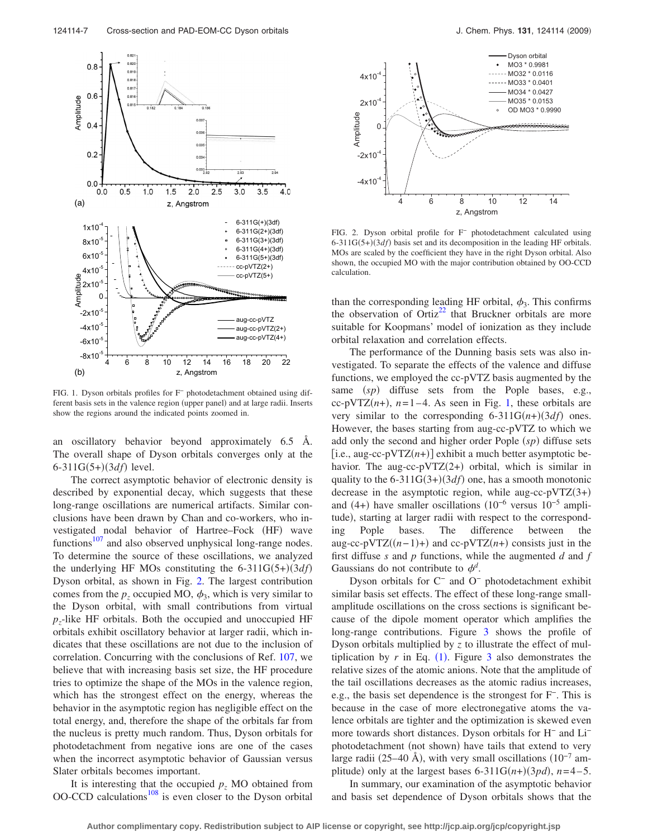<span id="page-6-0"></span>

FIG. 1. Dyson orbitals profiles for F<sup>−</sup> photodetachment obtained using different basis sets in the valence region (upper panel) and at large radii. Inserts show the regions around the indicated points zoomed in.

an oscillatory behavior beyond approximately 6.5 Å. The overall shape of Dyson orbitals converges only at the  $6 - 311G(5+)$  (3*df*) level.

The correct asymptotic behavior of electronic density is described by exponential decay, which suggests that these long-range oscillations are numerical artifacts. Similar conclusions have been drawn by Chan and co-workers, who investigated nodal behavior of Hartree-Fock (HF) wave functions $107$  and also observed unphysical long-range nodes. To determine the source of these oscillations, we analyzed the underlying HF MOs constituting the  $6-311G(5+)(3df)$ Dyson orbital, as shown in Fig. [2.](#page-6-1) The largest contribution comes from the  $p_z$  occupied MO,  $\phi_3$ , which is very similar to the Dyson orbital, with small contributions from virtual  $p<sub>z</sub>$ -like HF orbitals. Both the occupied and unoccupied HF orbitals exhibit oscillatory behavior at larger radii, which indicates that these oscillations are not due to the inclusion of correlation. Concurring with the conclusions of Ref. [107,](#page-14-19) we believe that with increasing basis set size, the HF procedure tries to optimize the shape of the MOs in the valence region, which has the strongest effect on the energy, whereas the behavior in the asymptotic region has negligible effect on the total energy, and, therefore the shape of the orbitals far from the nucleus is pretty much random. Thus, Dyson orbitals for photodetachment from negative ions are one of the cases when the incorrect asymptotic behavior of Gaussian versus Slater orbitals becomes important.

It is interesting that the occupied  $p<sub>z</sub>$  MO obtained from OO-CCD calculations $108$  is even closer to the Dyson orbital

<span id="page-6-1"></span>

FIG. 2. Dyson orbital profile for F<sup>−</sup> photodetachment calculated using  $6-311G(5+)(3df)$  basis set and its decomposition in the leading HF orbitals. MOs are scaled by the coefficient they have in the right Dyson orbital. Also shown, the occupied MO with the major contribution obtained by OO-CCD calculation.

than the corresponding leading HF orbital,  $\phi_3$ . This confirms the observation of Ortiz<sup>22</sup> that Bruckner orbitals are more suitable for Koopmans' model of ionization as they include orbital relaxation and correlation effects.

The performance of the Dunning basis sets was also investigated. To separate the effects of the valence and diffuse functions, we employed the cc-pVTZ basis augmented by the same (sp) diffuse sets from the Pople bases, e.g.,  $cc-pVTZ(n+)$ ,  $n=1-4$ . As seen in Fig. [1,](#page-6-0) these orbitals are very similar to the corresponding  $6-311G(n+)(3df)$  ones. However, the bases starting from aug-cc-pVTZ to which we add only the second and higher order Pople (sp) diffuse sets  $[i.e., aug-cc-pVTZ(n+)]$  exhibit a much better asymptotic behavior. The aug-cc-pVTZ(2+) orbital, which is similar in quality to the  $6-311G(3+)(3df)$  one, has a smooth monotonic decrease in the asymptotic region, while aug-cc-pVTZ $(3+)$ and (4+) have smaller oscillations  $(10^{-6}$  versus  $10^{-5}$  amplitude), starting at larger radii with respect to the corresponding Pople bases. The difference between the aug-cc-pVTZ $((n-1)+)$  and cc-pVTZ $(n+)$  consists just in the first diffuse *s* and *p* functions, while the augmented *d* and *f* Gaussians do not contribute to  $\phi^d$ .

Dyson orbitals for C<sup>−</sup> and O<sup>−</sup> photodetachment exhibit similar basis set effects. The effect of these long-range smallamplitude oscillations on the cross sections is significant because of the dipole moment operator which amplifies the long-range contributions. Figure [3](#page-7-0) shows the profile of Dyson orbitals multiplied by *z* to illustrate the effect of multiplication by  $r$  in Eq.  $(1)$  $(1)$  $(1)$ . Figure [3](#page-7-0) also demonstrates the relative sizes of the atomic anions. Note that the amplitude of the tail oscillations decreases as the atomic radius increases, e.g., the basis set dependence is the strongest for F−. This is because in the case of more electronegative atoms the valence orbitals are tighter and the optimization is skewed even more towards short distances. Dyson orbitals for H<sup>−</sup> and Li− photodetachment (not shown) have tails that extend to very large radii (25–40 Å), with very small oscillations  $(10^{-7}$  amplitude) only at the largest bases  $6-311G(n+)(3pd)$ ,  $n=4-5$ .

In summary, our examination of the asymptotic behavior and basis set dependence of Dyson orbitals shows that the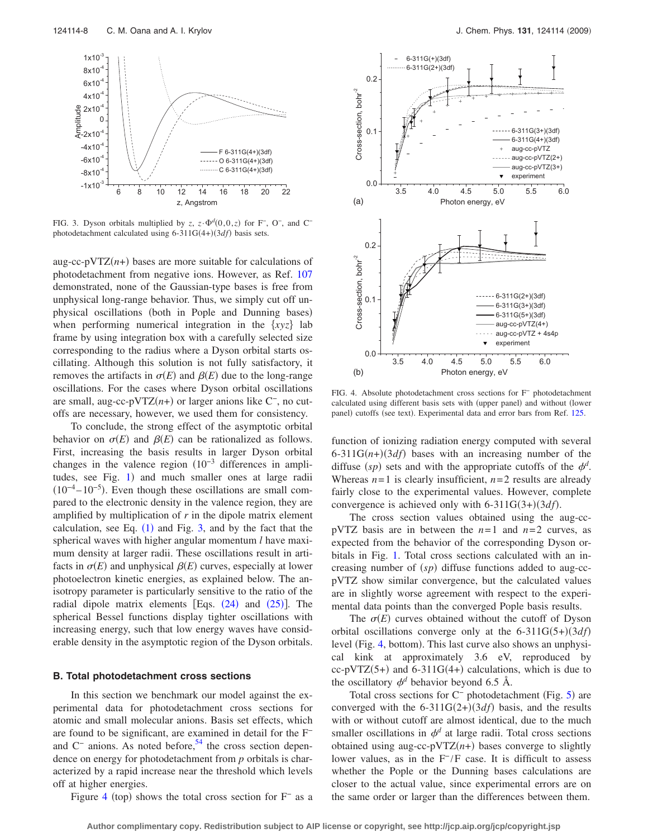<span id="page-7-0"></span>

FIG. 3. Dyson orbitals multiplied by *z*,  $z \cdot \Phi^d(0,0,z)$  for F<sup>-</sup>, O<sup>-</sup>, and C<sup>-</sup> photodetachment calculated using  $6-311G(4+)(3df)$  basis sets.

aug-cc-pVTZ $(n+)$  bases are more suitable for calculations of photodetachment from negative ions. However, as Ref. [107](#page-14-19) demonstrated, none of the Gaussian-type bases is free from unphysical long-range behavior. Thus, we simply cut off unphysical oscillations (both in Pople and Dunning bases) when performing numerical integration in the  $\{xyz\}$  lab frame by using integration box with a carefully selected size corresponding to the radius where a Dyson orbital starts oscillating. Although this solution is not fully satisfactory, it removes the artifacts in  $\sigma(E)$  and  $\beta(E)$  due to the long-range oscillations. For the cases where Dyson orbital oscillations are small, aug-cc-pVTZ(n+) or larger anions like C<sup>-</sup>, no cutoffs are necessary, however, we used them for consistency.

To conclude, the strong effect of the asymptotic orbital behavior on  $\sigma(E)$  and  $\beta(E)$  can be rationalized as follows. First, increasing the basis results in larger Dyson orbital changes in the valence region  $(10^{-3}$  differences in ampli-tudes, see Fig. [1](#page-6-0)) and much smaller ones at large radii  $(10^{-4} - 10^{-5})$ . Even though these oscillations are small compared to the electronic density in the valence region, they are amplified by multiplication of *r* in the dipole matrix element calculation, see Eq.  $(1)$  $(1)$  $(1)$  and Fig. [3,](#page-7-0) and by the fact that the spherical waves with higher angular momentum *l* have maximum density at larger radii. These oscillations result in artifacts in  $\sigma(E)$  and unphysical  $\beta(E)$  curves, especially at lower photoelectron kinetic energies, as explained below. The anisotropy parameter is particularly sensitive to the ratio of the radial dipole matrix elements [Eqs.  $(24)$  $(24)$  $(24)$  and  $(25)$  $(25)$  $(25)$ ]. The spherical Bessel functions display tighter oscillations with increasing energy, such that low energy waves have considerable density in the asymptotic region of the Dyson orbitals.

#### **B. Total photodetachment cross sections**

In this section we benchmark our model against the experimental data for photodetachment cross sections for atomic and small molecular anions. Basis set effects, which are found to be significant, are examined in detail for the F<sup>−</sup> and  $C^-$  anions. As noted before,<sup>54</sup> the cross section dependence on energy for photodetachment from *p* orbitals is characterized by a rapid increase near the threshold which levels off at higher energies.

Figure [4](#page-7-1) (top) shows the total cross section for  $F<sup>-</sup>$  as a

<span id="page-7-1"></span>

FIG. 4. Absolute photodetachment cross sections for F<sup>−</sup> photodetachment calculated using different basis sets with (upper panel) and without (lower panel) cutoffs (see text). Experimental data and error bars from Ref. [125.](#page-14-21)

function of ionizing radiation energy computed with several  $6-311G(n+)(3df)$  bases with an increasing number of the diffuse  $(sp)$  sets and with the appropriate cutoffs of the  $\phi^d$ . Whereas  $n=1$  is clearly insufficient,  $n=2$  results are already fairly close to the experimental values. However, complete convergence is achieved only with  $6-311G(3+)(3df)$ .

The cross section values obtained using the aug-ccpVTZ basis are in between the *n*=1 and *n*=2 curves, as expected from the behavior of the corresponding Dyson orbitals in Fig. [1.](#page-6-0) Total cross sections calculated with an increasing number of  $(sp)$  diffuse functions added to aug-ccpVTZ show similar convergence, but the calculated values are in slightly worse agreement with respect to the experimental data points than the converged Pople basis results.

The  $\sigma(E)$  curves obtained without the cutoff of Dyson orbital oscillations converge only at the  $6-311G(5+)(3df)$ level (Fig. [4,](#page-7-1) bottom). This last curve also shows an unphysical kink at approximately 3.6 eV, reproduced by  $cc$ -pVTZ(5+) and 6-311G(4+) calculations, which is due to the oscillatory  $\phi^d$  behavior beyond 6.5 Å.

Total cross sections for C<sup>−</sup> photodetachment (Fig. [5](#page-8-0)) are converged with the  $6-311G(2+)(3df)$  basis, and the results with or without cutoff are almost identical, due to the much smaller oscillations in  $\phi^d$  at large radii. Total cross sections obtained using aug-cc-pVTZ $(n+)$  bases converge to slightly lower values, as in the  $F^-/F$  case. It is difficult to assess whether the Pople or the Dunning bases calculations are closer to the actual value, since experimental errors are on the same order or larger than the differences between them.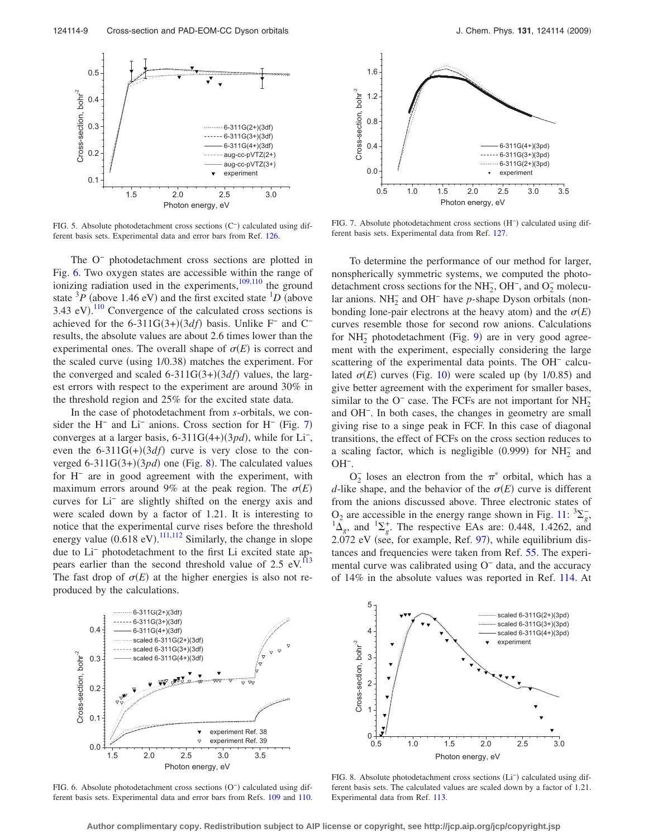<span id="page-8-0"></span>

FIG. 5. Absolute photodetachment cross sections (C<sup>-</sup>) calculated using different basis sets. Experimental data and error bars from Ref. [126.](#page-14-26)

The O<sup>−</sup> photodetachment cross sections are plotted in Fig. [6.](#page-8-1) Two oxygen states are accessible within the range of ionizing radiation used in the experiments, $\frac{109,110}{9}$  $\frac{109,110}{9}$  $\frac{109,110}{9}$  the ground state  ${}^{3}P$  (above 1.46 eV) and the first excited state  ${}^{1}D$  (above 3.43 eV).<sup>[110](#page-14-23)</sup> Convergence of the calculated cross sections is achieved for the  $6-311G(3+)(3df)$  basis. Unlike F<sup>-</sup> and C<sup>-</sup> results, the absolute values are about 2.6 times lower than the experimental ones. The overall shape of  $\sigma(E)$  is correct and the scaled curve (using 1/0.38) matches the experiment. For the converged and scaled  $6-311G(3+)(3df)$  values, the largest errors with respect to the experiment are around 30% in the threshold region and 25% for the excited state data.

In the case of photodetachment from *s*-orbitals, we con-sider the H<sup>-</sup> and Li<sup>-</sup> anions. Cross section for H<sup>-</sup> (Fig. [7](#page-8-2)) converges at a larger basis,  $6-311G(4+)(3pd)$ , while for Li<sup>-</sup>, even the  $6-311G(+)(3df)$  curve is very close to the converged  $6-311G(3+)(3pd)$  one (Fig. [8](#page-8-3)). The calculated values for H<sup>−</sup> are in good agreement with the experiment, with maximum errors around 9% at the peak region. The  $\sigma(E)$ curves for Li− are slightly shifted on the energy axis and were scaled down by a factor of 1.21. It is interesting to notice that the experimental curve rises before the threshold energy value  $(0.618 \text{ eV})$ .  $^{111,112}$  $^{111,112}$  $^{111,112}$  $^{111,112}$  Similarly, the change in slope due to Li− photodetachment to the first Li excited state appears earlier than the second threshold value of  $2.5 \text{ eV}$ .<sup>113</sup> The fast drop of  $\sigma(E)$  at the higher energies is also not reproduced by the calculations.

<span id="page-8-2"></span>

FIG. 7. Absolute photodetachment cross sections (H<sup>-</sup>) calculated using different basis sets. Experimental data from Ref. [127.](#page-14-27)

To determine the performance of our method for larger, nonspherically symmetric systems, we computed the photodetachment cross sections for the NH<sub>2</sub>, OH<sup>-</sup>, and O<sub>2</sub> molecular anions.  $NH_2^-$  and  $OH^-$  have *p*-shape Dyson orbitals (nonbonding lone-pair electrons at the heavy atom) and the  $\sigma(E)$ curves resemble those for second row anions. Calculations for NH<sub>2</sub> photodetachment (Fig. [9](#page-9-0)) are in very good agreement with the experiment, especially considering the large scattering of the experimental data points. The OH<sup>−</sup> calculated  $\sigma(E)$  curves (Fig. [10](#page-9-1)) were scaled up (by 1/0.85) and give better agreement with the experiment for smaller bases, similar to the O<sup>-</sup> case. The FCFs are not important for  $NH_2^$ and OH−. In both cases, the changes in geometry are small giving rise to a singe peak in FCF. In this case of diagonal transitions, the effect of FCFs on the cross section reduces to a scaling factor, which is negligible  $(0.999)$  for  $NH<sub>2</sub><sup>-</sup>$  and OH−.

 $O_2^-$  loses an electron from the  $\pi^*$  orbital, which has a *d*-like shape, and the behavior of the  $\sigma(E)$  curve is different from the anions discussed above. Three electronic states of  $O_2$  are accessible in the energy range shown in Fig. [11:](#page-9-2)  $\frac{3\sum_{g}^{2}}{2g}$  $\Delta_g$ , and  ${}^{1}\Sigma_g^+$ . The respective EAs are: 0.448, 1.4262, and  $2.072$  eV (see, for example, Ref. [97](#page-13-45)), while equilibrium distances and frequencies were taken from Ref. [55.](#page-13-23) The experimental curve was calibrated using O<sup>−</sup> data, and the accuracy of 14% in the absolute values was reported in Ref. [114.](#page-14-25) At

<span id="page-8-1"></span>

FIG. 6. Absolute photodetachment cross sections (O<sup>-</sup>) calculated using different basis sets. Experimental data and error bars from Refs. [109](#page-14-22) and [110.](#page-14-23)

<span id="page-8-3"></span>

FIG. 8. Absolute photodetachment cross sections (Li<sup>-</sup>) calculated using different basis sets. The calculated values are scaled down by a factor of 1.21. Experimental data from Ref. [113.](#page-14-24)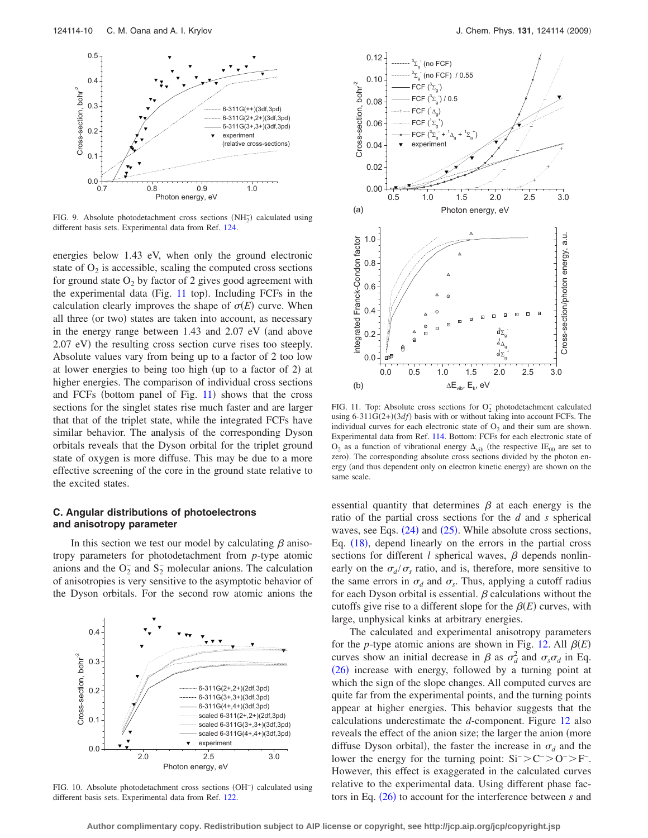<span id="page-9-0"></span>

FIG. 9. Absolute photodetachment cross sections  $(NH_2^-)$  calculated using different basis sets. Experimental data from Ref. [124.](#page-14-18)

energies below 1.43 eV, when only the ground electronic state of  $O<sub>2</sub>$  is accessible, scaling the computed cross sections for ground state  $O_2$  by factor of 2 gives good agreement with the experimental data (Fig. [11](#page-9-2) top). Including FCFs in the calculation clearly improves the shape of  $\sigma(E)$  curve. When all three (or two) states are taken into account, as necessary in the energy range between  $1.43$  and  $2.07$  eV (and above 2.07 eV) the resulting cross section curve rises too steeply. Absolute values vary from being up to a factor of 2 too low at lower energies to being too high (up to a factor of 2) at higher energies. The comparison of individual cross sections and FCFs (bottom panel of Fig. [11](#page-9-2)) shows that the cross sections for the singlet states rise much faster and are larger that that of the triplet state, while the integrated FCFs have similar behavior. The analysis of the corresponding Dyson orbitals reveals that the Dyson orbital for the triplet ground state of oxygen is more diffuse. This may be due to a more effective screening of the core in the ground state relative to the excited states.

## **C. Angular distributions of photoelectrons and anisotropy parameter**

In this section we test our model by calculating  $\beta$  anisotropy parameters for photodetachment from *p*-type atomic anions and the  $O_2^-$  and  $S_2^-$  molecular anions. The calculation of anisotropies is very sensitive to the asymptotic behavior of the Dyson orbitals. For the second row atomic anions the

<span id="page-9-1"></span>

FIG. 10. Absolute photodetachment cross sections (OH<sup>-</sup>) calculated using different basis sets. Experimental data from Ref. [122.](#page-14-16)

<span id="page-9-2"></span>

FIG. 11. Top: Absolute cross sections for  $O_2^-$  photodetachment calculated using  $6-311G(2+)(3df)$  basis with or without taking into account FCFs. The individual curves for each electronic state of  $O_2$  and their sum are shown. Experimental data from Ref. [114.](#page-14-25) Bottom: FCFs for each electronic state of  $O_2$  as a function of vibrational energy  $\Delta_{\text{vib}}$  (the respective IE<sub>00</sub> are set to zero). The corresponding absolute cross sections divided by the photon energy (and thus dependent only on electron kinetic energy) are shown on the same scale.

essential quantity that determines  $\beta$  at each energy is the ratio of the partial cross sections for the *d* and *s* spherical waves, see Eqs.  $(24)$  $(24)$  $(24)$  and  $(25)$  $(25)$  $(25)$ . While absolute cross sections, Eq. ([18](#page-3-8)), depend linearly on the errors in the partial cross sections for different *l* spherical waves,  $\beta$  depends nonlinearly on the  $\sigma_d/\sigma_s$  ratio, and is, therefore, more sensitive to the same errors in  $\sigma_d$  and  $\sigma_s$ . Thus, applying a cutoff radius for each Dyson orbital is essential.  $\beta$  calculations without the cutoffs give rise to a different slope for the  $\beta(E)$  curves, with large, unphysical kinks at arbitrary energies.

The calculated and experimental anisotropy parameters for the *p*-type atomic anions are shown in Fig. [12.](#page-10-0) All  $\beta(E)$ curves show an initial decrease in  $\beta$  as  $\sigma_d^2$  and  $\sigma_s \sigma_d$  in Eq. ([26](#page-4-1)) increase with energy, followed by a turning point at which the sign of the slope changes. All computed curves are quite far from the experimental points, and the turning points appear at higher energies. This behavior suggests that the calculations underestimate the *d*-component. Figure [12](#page-10-0) also reveals the effect of the anion size; the larger the anion (more diffuse Dyson orbital), the faster the increase in  $\sigma_d$  and the lower the energy for the turning point:  $Si^->C^->O^->F^-$ . However, this effect is exaggerated in the calculated curves relative to the experimental data. Using different phase fac-tors in Eq. ([26](#page-4-1)) to account for the interference between *s* and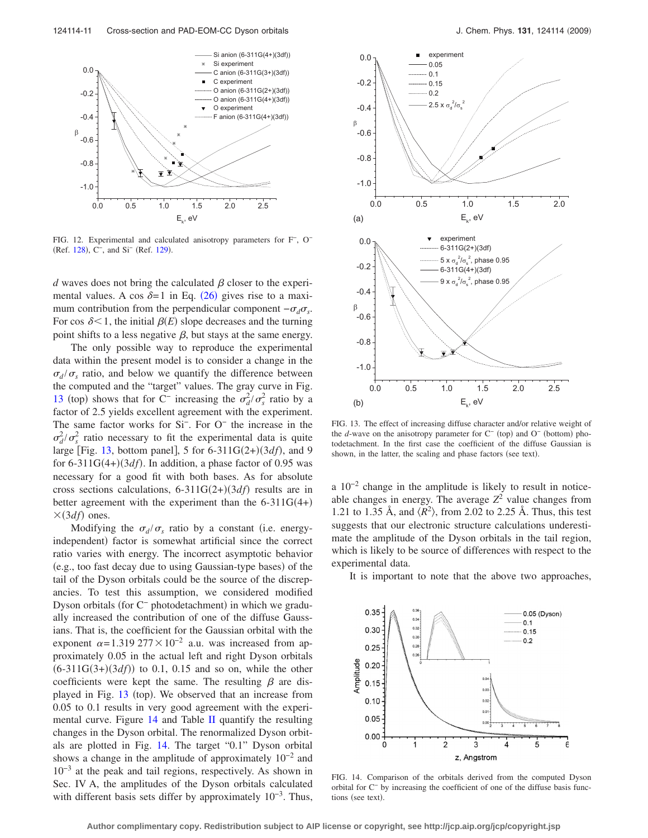<span id="page-10-0"></span>

FIG. 12. Experimental and calculated anisotropy parameters for F−, O− (Ref. [128](#page-14-28)), C<sup>-</sup>, and Si<sup>-</sup> (Ref. [129](#page-14-29)).

*d* waves does not bring the calculated  $\beta$  closer to the experimental values. A cos  $\delta = 1$  in Eq. ([26](#page-4-1)) gives rise to a maximum contribution from the perpendicular component  $-\sigma_d\sigma_s$ . For cos  $\delta$ <1, the initial  $\beta$ (*E*) slope decreases and the turning point shifts to a less negative  $\beta$ , but stays at the same energy.

The only possible way to reproduce the experimental data within the present model is to consider a change in the  $\sigma_d/\sigma_s$  ratio, and below we quantify the difference between the computed and the "target" values. The gray curve in Fig. [13](#page-10-1) (top) shows that for C<sup>−</sup> increasing the  $\sigma_d^2 / \sigma_s^2$  ratio by a factor of 2.5 yields excellent agreement with the experiment. The same factor works for Si−. For O− the increase in the  $\sigma_d^2 / \sigma_s^2$  ratio necessary to fit the experimental data is quite large [Fig. [13,](#page-10-1) bottom panel], 5 for  $6-311G(2+)(3df)$ , and 9 for  $6-311G(4+)(3df)$ . In addition, a phase factor of 0.95 was necessary for a good fit with both bases. As for absolute cross sections calculations,  $6-311G(2+)(3df)$  results are in better agreement with the experiment than the  $6-311G(4+)$  $\times$ (3*df*) ones.

Modifying the  $\sigma_d/\sigma_s$  ratio by a constant (i.e. energyindependent) factor is somewhat artificial since the correct ratio varies with energy. The incorrect asymptotic behavior (e.g., too fast decay due to using Gaussian-type bases) of the tail of the Dyson orbitals could be the source of the discrepancies. To test this assumption, we considered modified Dyson orbitals (for C<sup>-</sup> photodetachment) in which we gradually increased the contribution of one of the diffuse Gaussians. That is, the coefficient for the Gaussian orbital with the exponent  $\alpha$ =1.319 277 × 10<sup>-2</sup> a.u. was increased from approximately 0.05 in the actual left and right Dyson orbitals  $(6-311G(3+)(3df))$  to 0.1, 0.15 and so on, while the other coefficients were kept the same. The resulting  $\beta$  are dis-played in Fig. [13](#page-10-1) (top). We observed that an increase from 0.05 to 0.1 results in very good agreement with the experimental curve. Figure  $14$  and Table [II](#page-11-0) quantify the resulting changes in the Dyson orbital. The renormalized Dyson orbitals are plotted in Fig. [14.](#page-10-2) The target "0.1" Dyson orbital shows a change in the amplitude of approximately 10−2 and 10−3 at the peak and tail regions, respectively. As shown in Sec. IV A, the amplitudes of the Dyson orbitals calculated with different basis sets differ by approximately  $10^{-3}$ . Thus,

<span id="page-10-1"></span>

FIG. 13. The effect of increasing diffuse character and/or relative weight of the *d*-wave on the anisotropy parameter for C<sup>−</sup> (top) and O<sup>−</sup> (bottom) photodetachment. In the first case the coefficient of the diffuse Gaussian is shown, in the latter, the scaling and phase factors (see text).

a 10−2 change in the amplitude is likely to result in noticeable changes in energy. The average  $Z^2$  value changes from 1.21 to 1.35 Å, and  $\langle R^2 \rangle$ , from 2.02 to 2.25 Å. Thus, this test suggests that our electronic structure calculations underestimate the amplitude of the Dyson orbitals in the tail region, which is likely to be source of differences with respect to the experimental data.

It is important to note that the above two approaches,

<span id="page-10-2"></span>

FIG. 14. Comparison of the orbitals derived from the computed Dyson orbital for C<sup>−</sup> by increasing the coefficient of one of the diffuse basis functions (see text).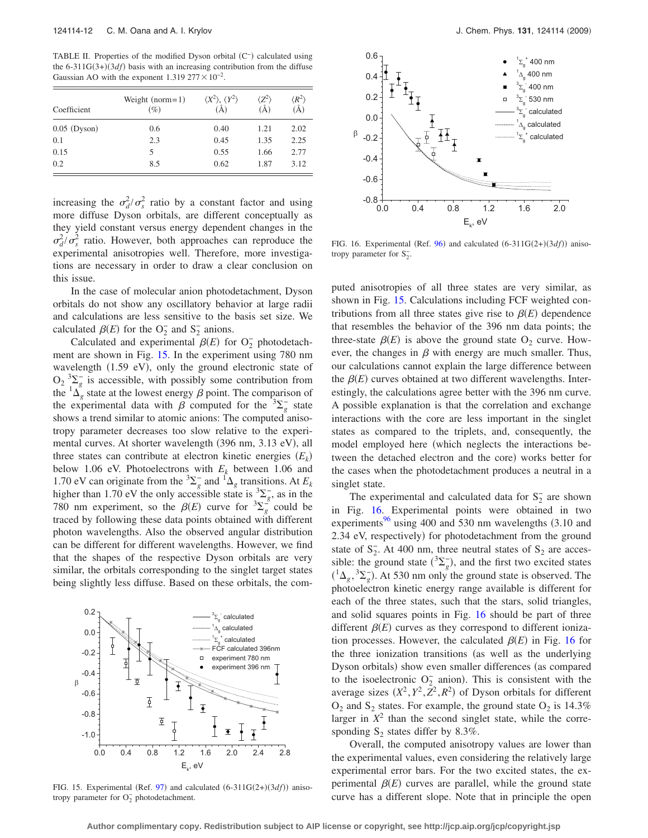<span id="page-11-0"></span>TABLE II. Properties of the modified Dyson orbital (C<sup>-</sup>) calculated using the  $6-311G(3+)(3df)$  basis with an increasing contribution from the diffuse Gaussian AO with the exponent  $1.319\,277 \times 10^{-2}$ .

| Coefficient    | Weight $(norm=1)$<br>$(\%)$ | $\langle X^2 \rangle, \langle Y^2 \rangle$<br>(Å) | $Z^2$<br>Ã | $\langle R^2 \rangle$<br>(A) |
|----------------|-----------------------------|---------------------------------------------------|------------|------------------------------|
| $0.05$ (Dyson) | 0.6                         | 0.40                                              | 1.21       | 2.02                         |
| 0.1            | 2.3                         | 0.45                                              | 1.35       | 2.25                         |
| 0.15           | 5                           | 0.55                                              | 1.66       | 2.77                         |
| 0.2            | 8.5                         | 0.62                                              | 1.87       | 3.12                         |

increasing the  $\sigma_d^2 / \sigma_s^2$  ratio by a constant factor and using more diffuse Dyson orbitals, are different conceptually as they yield constant versus energy dependent changes in the  $\sigma_d^2/\sigma_s^2$  ratio. However, both approaches can reproduce the experimental anisotropies well. Therefore, more investigations are necessary in order to draw a clear conclusion on this issue.

In the case of molecular anion photodetachment, Dyson orbitals do not show any oscillatory behavior at large radii and calculations are less sensitive to the basis set size. We calculated  $\beta(E)$  for the O<sub>2</sub> and S<sub>2</sub> anions.

Calculated and experimental  $\beta(E)$  for O<sub>2</sub> photodetachment are shown in Fig. [15.](#page-11-1) In the experiment using 780 nm wavelength (1.59 eV), only the ground electronic state of  $O_2 \frac{3}{8} \sum_{g}$  is accessible, with possibly some contribution from the  ${}^{1}\Delta_{g}^{^{\circ}}$  state at the lowest energy  $\beta$  point. The comparison of the experimental data with  $\beta$  computed for the <sup>3</sup> $\sum_{g}$  state shows a trend similar to atomic anions: The computed anisotropy parameter decreases too slow relative to the experimental curves. At shorter wavelength (396 nm, 3.13 eV), all three states can contribute at electron kinetic energies  $(E_k)$ below 1.06 eV. Photoelectrons with  $E_k$  between 1.06 and 1.70 eV can originate from the <sup>3</sup> $\sum_{g}$  and <sup>1</sup> $\Delta_{g}$  transitions. At *E<sub>k</sub>* higher than 1.70 eV the only accessible state is  ${}^{3}\Sigma_{g}^{-}$ , as in the 780 nm experiment, so the  $\beta(E)$  curve for  ${}^{3}\Sigma_{g}^{-8}$  could be traced by following these data points obtained with different photon wavelengths. Also the observed angular distribution can be different for different wavelengths. However, we find that the shapes of the respective Dyson orbitals are very similar, the orbitals corresponding to the singlet target states being slightly less diffuse. Based on these orbitals, the com-

<span id="page-11-1"></span>

FIG. 15. Experimental (Ref. [97](#page-13-45)) and calculated  $(6-311G(2+)(3df))$  anisotropy parameter for  $O_2^-$  photodetachment.

<span id="page-11-2"></span>

FIG. 16. Experimental (Ref.  $96$ ) and calculated  $(6-311G(2+)(3df))$  anisotropy parameter for  $S_2^-$ .

puted anisotropies of all three states are very similar, as shown in Fig. [15.](#page-11-1) Calculations including FCF weighted contributions from all three states give rise to  $\beta(E)$  dependence that resembles the behavior of the 396 nm data points; the three-state  $\beta(E)$  is above the ground state  $O_2$  curve. However, the changes in  $\beta$  with energy are much smaller. Thus, our calculations cannot explain the large difference between the  $\beta(E)$  curves obtained at two different wavelengths. Interestingly, the calculations agree better with the 396 nm curve. A possible explanation is that the correlation and exchange interactions with the core are less important in the singlet states as compared to the triplets, and, consequently, the model employed here (which neglects the interactions between the detached electron and the core) works better for the cases when the photodetachment produces a neutral in a singlet state.

The experimental and calculated data for  $S_2^-$  are shown in Fig. [16.](#page-11-2) Experimental points were obtained in two experiments $96$  using 400 and 530 nm wavelengths  $(3.10 \text{ and } 5.10 \text{)}$ 2.34 eV, respectively) for photodetachment from the ground state of  $S_2^-$ . At 400 nm, three neutral states of  $S_2$  are accessible: the ground state  $({}^{3}\Sigma_{g}^{-})$ , and the first two excited states  $({}^{1}\Delta_{g}, {}^{3}\Sigma_{g}^{-})$ . At 530 nm only the ground state is observed. The photoelectron kinetic energy range available is different for each of the three states, such that the stars, solid triangles, and solid squares points in Fig. [16](#page-11-2) should be part of three different  $\beta(E)$  curves as they correspond to different ionization processes. However, the calculated  $\beta(E)$  in Fig. [16](#page-11-2) for the three ionization transitions (as well as the underlying Dyson orbitals) show even smaller differences (as compared to the isoelectronic  $O_2^-$  anion). This is consistent with the average sizes  $(X^2, Y^2, Z^2, R^2)$  of Dyson orbitals for different  $O_2$  and  $S_2$  states. For example, the ground state  $O_2$  is 14.3% larger in  $X^2$  than the second singlet state, while the corresponding  $S_2$  states differ by 8.3%.

Overall, the computed anisotropy values are lower than the experimental values, even considering the relatively large experimental error bars. For the two excited states, the experimental  $\beta(E)$  curves are parallel, while the ground state curve has a different slope. Note that in principle the open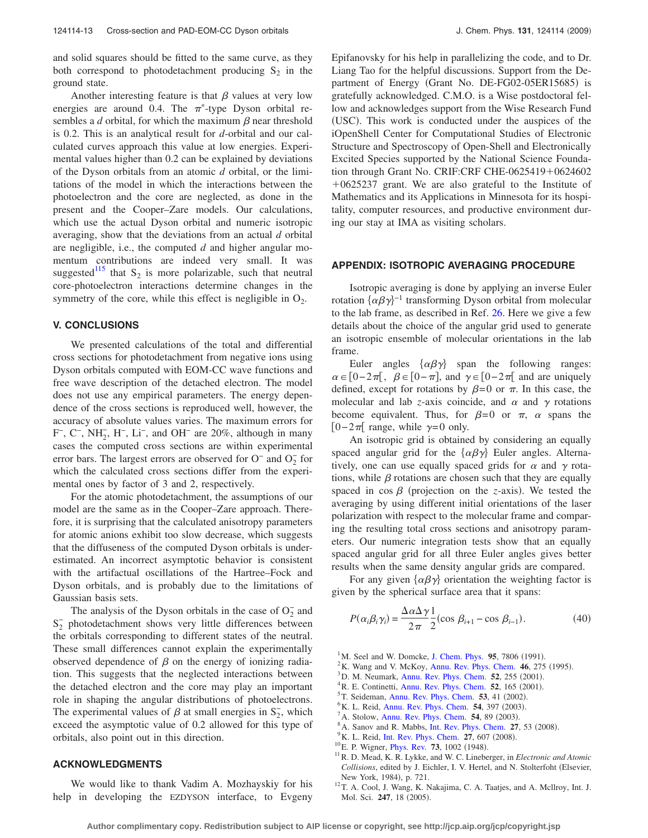and solid squares should be fitted to the same curve, as they both correspond to photodetachment producing  $S_2$  in the ground state.

Another interesting feature is that  $\beta$  values at very low energies are around 0.4. The  $\pi^*$ -type Dyson orbital resembles a *d* orbital, for which the maximum  $\beta$  near threshold is 0.2. This is an analytical result for *d*-orbital and our calculated curves approach this value at low energies. Experimental values higher than 0.2 can be explained by deviations of the Dyson orbitals from an atomic *d* orbital, or the limitations of the model in which the interactions between the photoelectron and the core are neglected, as done in the present and the Cooper–Zare models. Our calculations, which use the actual Dyson orbital and numeric isotropic averaging, show that the deviations from an actual *d* orbital are negligible, i.e., the computed *d* and higher angular momentum contributions are indeed very small. It was suggested $115$  that S<sub>2</sub> is more polarizable, such that neutral core-photoelectron interactions determine changes in the symmetry of the core, while this effect is negligible in  $O_2$ .

## **V. CONCLUSIONS**

We presented calculations of the total and differential cross sections for photodetachment from negative ions using Dyson orbitals computed with EOM-CC wave functions and free wave description of the detached electron. The model does not use any empirical parameters. The energy dependence of the cross sections is reproduced well, however, the accuracy of absolute values varies. The maximum errors for F−, C−, NH2 − , H−, Li−, and OH− are 20%, although in many cases the computed cross sections are within experimental error bars. The largest errors are observed for  $O^-$  and  $O_2^-$  for which the calculated cross sections differ from the experimental ones by factor of 3 and 2, respectively.

For the atomic photodetachment, the assumptions of our model are the same as in the Cooper–Zare approach. Therefore, it is surprising that the calculated anisotropy parameters for atomic anions exhibit too slow decrease, which suggests that the diffuseness of the computed Dyson orbitals is underestimated. An incorrect asymptotic behavior is consistent with the artifactual oscillations of the Hartree–Fock and Dyson orbitals, and is probably due to the limitations of Gaussian basis sets.

The analysis of the Dyson orbitals in the case of  $O_2^-$  and  $S_2^-$  photodetachment shows very little differences between the orbitals corresponding to different states of the neutral. These small differences cannot explain the experimentally observed dependence of  $\beta$  on the energy of ionizing radiation. This suggests that the neglected interactions between the detached electron and the core may play an important role in shaping the angular distributions of photoelectrons. The experimental values of  $\beta$  at small energies in  $S_2^-$ , which exceed the asymptotic value of 0.2 allowed for this type of orbitals, also point out in this direction.

#### **ACKNOWLEDGMENTS**

We would like to thank Vadim A. Mozhayskiy for his help in developing the EZDYSON interface, to Evgeny Epifanovsky for his help in parallelizing the code, and to Dr. Liang Tao for the helpful discussions. Support from the Department of Energy (Grant No. DE-FG02-05ER15685) is gratefully acknowledged. C.M.O. is a Wise postdoctoral fellow and acknowledges support from the Wise Research Fund (USC). This work is conducted under the auspices of the iOpenShell Center for Computational Studies of Electronic Structure and Spectroscopy of Open-Shell and Electronically Excited Species supported by the National Science Foundation through Grant No. CRIF:CRF CHE-0625419+0624602  $+0625237$  grant. We are also grateful to the Institute of Mathematics and its Applications in Minnesota for its hospitality, computer resources, and productive environment during our stay at IMA as visiting scholars.

#### **APPENDIX: ISOTROPIC AVERAGING PROCEDURE**

Isotropic averaging is done by applying an inverse Euler rotation  $\{\alpha\beta\gamma\}^{-1}$  transforming Dyson orbital from molecular to the lab frame, as described in Ref. [26.](#page-13-10) Here we give a few details about the choice of the angular grid used to generate an isotropic ensemble of molecular orientations in the lab frame.

Euler angles  $\{\alpha\beta\gamma\}$  span the following ranges:  $\alpha \in [0-2\pi[$ ,  $\beta \in [0-\pi]$ , and  $\gamma \in [0-2\pi[$  and are uniquely defined, except for rotations by  $\beta=0$  or  $\pi$ . In this case, the molecular and lab *z*-axis coincide, and  $\alpha$  and  $\gamma$  rotations become equivalent. Thus, for  $\beta=0$  or  $\pi$ ,  $\alpha$  spans the [0−2 $\pi$ [ range, while  $\gamma$ =0 only.

An isotropic grid is obtained by considering an equally spaced angular grid for the  $\{\alpha\beta\gamma\}$  Euler angles. Alternatively, one can use equally spaced grids for  $\alpha$  and  $\gamma$  rotations, while  $\beta$  rotations are chosen such that they are equally spaced in  $\cos \beta$  (projection on the *z*-axis). We tested the averaging by using different initial orientations of the laser polarization with respect to the molecular frame and comparing the resulting total cross sections and anisotropy parameters. Our numeric integration tests show that an equally spaced angular grid for all three Euler angles gives better results when the same density angular grids are compared.

For any given  $\{\alpha\beta\gamma\}$  orientation the weighting factor is given by the spherical surface area that it spans:

$$
P(\alpha_i \beta_i \gamma_i) = \frac{\Delta \alpha \Delta \gamma}{2\pi} \frac{1}{2} (\cos \beta_{i+1} - \cos \beta_{i-1}).
$$
 (40)

- <span id="page-12-0"></span><sup>1</sup>M. Seel and W. Domcke, [J. Chem. Phys.](http://dx.doi.org/10.1063/1.461816) **95**, 7806 (1991).<br><sup>2</sup>V. Wang and V. MaVoy, Anny Boy, Phys. Cham. 46, 275
- $K^2$ K. Wang and V. McKoy, [Annu. Rev. Phys. Chem.](http://dx.doi.org/10.1146/annurev.pc.46.100195.001423) **46**, 275 (1995).
- <span id="page-12-5"></span> $^{3}$ D. M. Neumark, [Annu. Rev. Phys. Chem.](http://dx.doi.org/10.1146/annurev.physchem.52.1.255) **52**, 255 (2001).
- <sup>4</sup> R. E. Continetti, [Annu. Rev. Phys. Chem.](http://dx.doi.org/10.1146/annurev.physchem.52.1.165) **52**, 165 (2001).
- <sup>5</sup>T. Seideman, [Annu. Rev. Phys. Chem.](http://dx.doi.org/10.1146/annurev.physchem.53.082101.130051) **53**, 41 (2002).
- <sup>6</sup>K. L. Reid, [Annu. Rev. Phys. Chem.](http://dx.doi.org/10.1146/annurev.physchem.54.011002.103814) **54**, 397 (2003).
- A. Stolow, [Annu. Rev. Phys. Chem.](http://dx.doi.org/10.1146/annurev.physchem.54.011002.103809) **54**, 89 (2003).
- <span id="page-12-6"></span><sup>8</sup> A. Sanov and R. Mabbs, [Int. Rev. Phys. Chem.](http://dx.doi.org/10.1080/01442350701786512) 27, 53 (2008).
- <span id="page-12-1"></span><sup>9</sup> K. L. Reid, [Int. Rev. Phys. Chem.](http://dx.doi.org/10.1080/01442350802229982) **27**, 607 (2008).<br><sup>10</sup> E. P. Wigner, [Phys. Rev.](http://dx.doi.org/10.1103/PhysRev.73.1002) **73**, 1002 (1948).
- <span id="page-12-3"></span>
- <span id="page-12-2"></span><sup>10</sup> E. P. Wigner, *Phys. Rev.* **73**, 1002 (1948).<br><sup>11</sup> R. D. Mead, K. R. Lykke, and W. C. Lineberger, in *Electronic and Atomic* Collisions, edited by J. Eichler, I. V. Hertel, and N. Stolterfoht (Elsevier, New York, 1984), p. 721.
- <span id="page-12-4"></span><sup>12</sup>T. A. Cool, J. Wang, K. Nakajima, C. A. Taatjes, and A. Mcllroy, Int. J. Mol. Sci. 247, 18 (2005).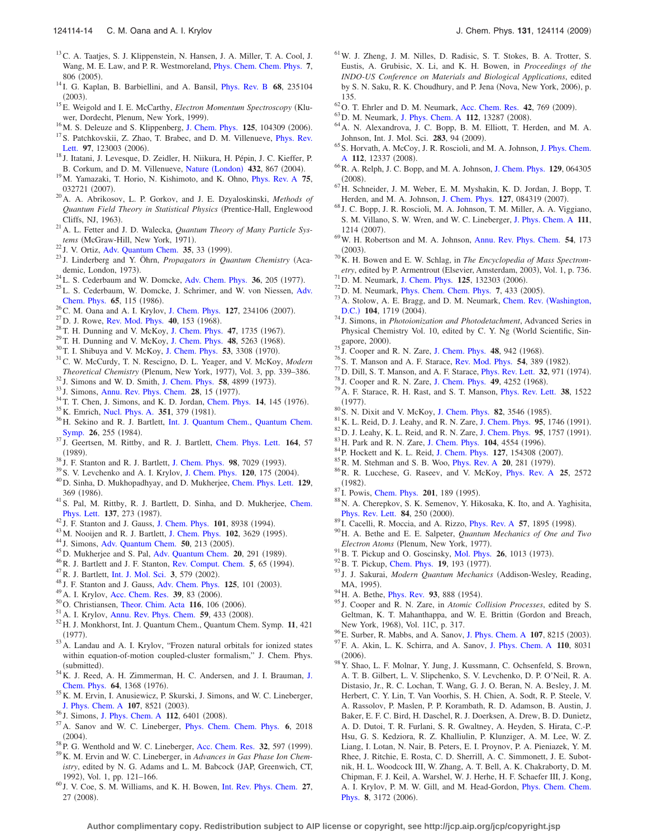- <span id="page-13-0"></span><sup>13</sup>C. A. Taatjes, S. J. Klippenstein, N. Hansen, J. A. Miller, T. A. Cool, J. Wang, M. E. Law, and P. R. Westmoreland, [Phys. Chem. Chem. Phys.](http://dx.doi.org/10.1039/b417160h) **7**, 806 (2005).
- <span id="page-13-1"></span><sup>14</sup> I. G. Kaplan, B. Barbiellini, and A. Bansil, *[Phys. Rev. B](http://dx.doi.org/10.1103/PhysRevB.68.235104)* 68, 235104  $(2003).$
- <span id="page-13-2"></span><sup>15</sup>E. Weigold and I. E. McCarthy, *Electron Momentum Spectroscopy* (Kluwer, Dordecht, Plenum, New York, 1999).
- <span id="page-13-3"></span><sup>16</sup>M. S. Deleuze and S. Klippenberg, [J. Chem. Phys.](http://dx.doi.org/10.1063/1.2209690) **125**, 104309 (2006).
- <span id="page-13-4"></span><sup>17</sup> S. Patchkovskii, Z. Zhao, T. Brabec, and D. M. Villenueve, *[Phys. Rev.](http://dx.doi.org/10.1103/PhysRevLett.97.123003)* [Lett.](http://dx.doi.org/10.1103/PhysRevLett.97.123003) 97, 123003 (2006).
- $^{18}$  J. Itatani, J. Levesque, D. Zeidler, H. Niikura, H. Pépin, J. C. Kieffer, P. B. Corkum, and D. M. Villenueve, Nature ([London](http://dx.doi.org/10.1038/nature03183)) 432, 867 (2004)
- <span id="page-13-5"></span><sup>19</sup>M. Yamazaki, T. Horio, N. Kishimoto, and K. Ohno, *[Phys. Rev. A](http://dx.doi.org/10.1103/PhysRevA.75.032721)* 75, 032721 (2007).
- <span id="page-13-6"></span>. 20A. A. Abrikosov, L. P. Gorkov, and J. E. Dzyaloskinski, *Methods of* Quantum Field Theory in Statistical Physics (Prentice-Hall, Englewood Cliffs, NJ, 1963).
- <span id="page-13-7"></span>. 21A. L. Fetter and J. D. Walecka, *Quantum Theory of Many Particle Sys*tems (McGraw-Hill, New York, 1971).
- <span id="page-13-8"></span><sup>22</sup> J. V. Ortiz, [Adv. Quantum Chem.](http://dx.doi.org/10.1016/S0065-3276(08)60454-2) **35**, 33 (1999).
- <sup>23</sup> J. Linderberg and Y. Öhrn, *Propagators in Quantum Chemistry* (Academic, London, 1973).
- $2<sup>24</sup>$ L. S. Cederbaum and W. Domcke, [Adv. Chem. Phys.](http://dx.doi.org/10.1002/9780470142554.ch4) **36**, 205 (1977).
- <span id="page-13-9"></span><sup>25</sup>L. S. Cederbaum, W. Domcke, J. Schrimer, and W. von Niessen, [Adv.](http://dx.doi.org/10.1002/9780470142899.ch3) [Chem. Phys.](http://dx.doi.org/10.1002/9780470142899.ch3) 65, 115 (1986).
- <span id="page-13-10"></span>**Chem. Phys. 65,** 115 (1986).<br><sup>26</sup>C. M. Oana and A. I. Krylov, [J. Chem. Phys.](http://dx.doi.org/10.1063/1.2805393) **127**, 234106 (2007) <sup>20</sup> C. M. Oana and A. I. Krylov, J. Chem. Phys. **127**, 234106 (2007).<br><sup>27</sup> D. J. Rowe, [Rev. Mod. Phys.](http://dx.doi.org/10.1103/RevModPhys.40.153) **40**, 153 (1968).
- <span id="page-13-12"></span>
- <span id="page-13-11"></span><sup>27</sup> D. J. Rowe, Rev. Mod. Phys. **40**, 153 (1968).<br><sup>28</sup> T. H. Dunning and V. McKoy, [J. Chem. Phys.](http://dx.doi.org/10.1063/1.1712158) **47**, 1735 (1967).
- <sup>29</sup> T. H. Dunning and V. McKoy, [J. Chem. Phys.](http://dx.doi.org/10.1063/1.1668203) **48**, 5263 (1968).
- <sup>30</sup> T. I. Shibuya and V. McKoy, [J. Chem. Phys.](http://dx.doi.org/10.1063/1.1674482) **53**, 3308 (1970).
- <span id="page-13-13"></span>. 31C. W. McCurdy, T. N. Rescigno, D. L. Yeager, and V. McKoy, *Modern Theoretical Chemistry* (Plenum, New York, 1977), Vol. 3, pp. 339-386.
- <span id="page-13-14"></span><sup>32</sup> J. Simons and W. D. Smith, [J. Chem. Phys.](http://dx.doi.org/10.1063/1.1679074) **58**, 4899 (1973).
- <sup>33</sup> J. Simons, [Annu. Rev. Phys. Chem.](http://dx.doi.org/10.1146/annurev.pc.28.100177.000311) **28**, 15 (1977).
- <span id="page-13-15"></span><sup>33</sup> J. Simons, Annu. Rev. Phys. Chem. **28**, 15 (1977).<br><sup>34</sup> T. T. Chen, J. Simons, and K. D. Jordan, [Chem. Phys.](http://dx.doi.org/10.1016/0301-0104(76)80033-X) **14**, 145 (1976) <sup>34</sup> T. T. Chen, J. Simons, and K. D. Jordan, Chem. Phys. **14**, 145 (1976).<br><sup>35</sup>K. Emrich, [Nucl. Phys. A.](http://dx.doi.org/10.1016/0375-9474(81)90179-2) **351**, 379 (1981).
- 
- <span id="page-13-16"></span> $^{35}$  K. Emrich, Nucl. Phys. A. **351**, 379 (1981).<br> $^{36}$  H. Sekino and R. J. Bartlett, [Int. J. Quantum Chem., Quantum Chem.](http://dx.doi.org/10.1002/qua.560260826) [Symp.](http://dx.doi.org/10.1002/qua.560260826) 26, 255 (1984).
- . <sup>37</sup> J. Geertsen, M. Rittby, and R. J. Bartlett, [Chem. Phys. Lett.](http://dx.doi.org/10.1016/0009-2614(89)85202-9) **<sup>164</sup>**, 57  $(1989)$
- <sup>38</sup> J. F. Stanton and R. J. Bartlett, [J. Chem. Phys.](http://dx.doi.org/10.1063/1.464746) **98**, 7029 (1993).
- <sup>39</sup> S. V. Levchenko and A. I. Krylov, [J. Chem. Phys.](http://dx.doi.org/10.1063/1.1630018) **120**, 175 (2004).
- . 40D. Sinha, D. Mukhopadhyay, and D. Mukherjee, [Chem. Phys. Lett.](http://dx.doi.org/10.1016/0009-2614(86)80361-X) **<sup>129</sup>**, 369 (1986).
- <sup>41</sup> S. Pal, M. Rittby, R. J. Bartlett, D. Sinha, and D. Mukherjee, [Chem.](http://dx.doi.org/10.1016/0009-2614(87)80218-X) [Phys. Lett.](http://dx.doi.org/10.1016/0009-2614(87)80218-X) 137, 273 (1987).
- <sup>42</sup> J. F. Stanton and J. Gauss, [J. Chem. Phys.](http://dx.doi.org/10.1063/1.468022) **101**, 8938 (1994). <sup>42</sup> J. F. Stanton and J. Gauss, [J. Chem. Phys.](http://dx.doi.org/10.1063/1.468592) **101**, 8938 (1994).<br><sup>43</sup>M. Nooijen and R. J. Bartlett, J. Chem. Phys. **102**, 3629 (1995)
- <span id="page-13-17"></span><sup>43</sup> M. Nooijen and R. J. Bartlett, J. Chem. Phys. **102**, 3629 (1995).<br><sup>44</sup> J. Simons, [Adv. Quantum Chem.](http://dx.doi.org/10.1016/S0065-3276(05)50010-8) **50**, 213 (2005).
- 
- <span id="page-13-18"></span><sup>44</sup> J. Simons, [Adv. Quantum Chem.](http://dx.doi.org/10.1016/S0065-3276(08)60629-2) **50**, 213 (2005).<br><sup>45</sup>D. Mukherjee and S. Pal, Adv. Quantum Chem. **20**, 291 (1989). <sup>43</sup> D. Mukherjee and S. Pal, Adv. Quantum Chem. **20**, 291 (1989).<br><sup>46</sup> R. J. Bartlett and J. F. Stanton, [Rev. Comput. Chem.](http://dx.doi.org/10.1002/9780470125823.ch2) **5**, 65 (1994)
- <sup>40</sup> R. J. Bartlett and J. F. Stanton, Rev. Comput. Chem. **5**, 65 (1994).<br><sup>47</sup> R. J. Bartlett, [Int. J. Mol. Sci.](http://dx.doi.org/10.3390/i3060579) **3**, 579 (2002).
- 
- <sup>4</sup> R. J. Bartlett, Int. J. Mol. Sci. 3, 579 (2002).<br><sup>48</sup> J. F. Stanton and J. Gauss, [Adv. Chem. Phys.](http://dx.doi.org/10.1002/0471428027.ch2) **125**, 101 (2003) <sup>48</sup> J. F. Stanton and J. Gauss, Adv. Chem. Phys. **125**, 101 (2003).<br><sup>49</sup> A. I. Krylov, [Acc. Chem. Res.](http://dx.doi.org/10.1021/ar0402006) **39**, 83 (2006).
- 
- <sup>49</sup> A. I. Krylov, Acc. Chem. Res. **39**, 83 (2006).<br><sup>50</sup> O. Christiansen, [Theor. Chim. Acta](http://dx.doi.org/10.1007/s00214-005-0037-5) **116**, 106 (2006).
- <span id="page-13-20"></span><sup>51</sup> A. I. Krylov, [Annu. Rev. Phys. Chem.](http://dx.doi.org/10.1146/annurev.physchem.59.032607.093602) **59**, 433 (2008).
- <span id="page-13-19"></span>. 52H. J. Monkhorst, Int. J. Quantum Chem., Quantum Chem. Symp. **<sup>11</sup>**, 421  $(1977).$
- <span id="page-13-21"></span>. 53A. Landau and A. I. Krylov, "Frozen natural orbitals for ionized states within equation-of-motion coupled-cluster formalism," J. Chem. Phys. (submitted).
- <span id="page-13-22"></span>. 54K. J. Reed, A. H. Zimmerman, H. C. Andersen, and J. I. Brauman, [J.](http://dx.doi.org/10.1063/1.432404) [Chem. Phys.](http://dx.doi.org/10.1063/1.432404) **64**, 1368 (1976).
- <span id="page-13-23"></span><sup>55</sup>K. M. Ervin, I. Anusiewicz, P. Skurski, J. Simons, and W. C. Lineberger, [J. Phys. Chem. A](http://dx.doi.org/10.1021/jp0357323) 107, 8521 (2003).
- <sup>56</sup> J. Simons, [J. Phys. Chem. A](http://dx.doi.org/10.1021/jp711490b) **112**, 6401 (2008).
- . 57A. Sanov and W. C. Lineberger, [Phys. Chem. Chem. Phys.](http://dx.doi.org/10.1039/b400524d) **<sup>6</sup>**, 2018  $(2004).$
- 58 P. G. Wenthold and W. C. Lineberger, [Acc. Chem. Res.](http://dx.doi.org/10.1021/ar960121x) **32**, 597 (1999).
- . 59K. M. Ervin and W. C. Lineberger, in *Advances in Gas Phase Ion Chemistry*, edited by N. G. Adams and L. M. Babcock JAP, Greenwich, CT, 1992), Vol. 1, pp. 121-166.
- <sup>60</sup> J. V. Coe, S. M. Williams, and K. H. Bowen, [Int. Rev. Phys. Chem.](http://dx.doi.org/10.1080/01442350701783543) **27**, 27 (2008).
- 61W. J. Zheng, J. M. Nilles, D. Radisic, S. T. Stokes, B. A. Trotter, S. Eustis, A. Grubisic, X. Li, and K. H. Bowen, in *Proceedings of the INDO-US Conference on Materials and Biological Applications*, edited by S. N. Saku, R. K. Choudhury, and P. Jena (Nova, New York, 2006), p. 135. <sup>62</sup> O. T. Ehrler and D. M. Neumark, [Acc. Chem. Res.](http://dx.doi.org/10.1021/ar800263z) **42**, 769 (2009).
- 
- <sup>63</sup> D. M. Neumark, [J. Phys. Chem. A](http://dx.doi.org/10.1021/jp807182q) **112**, 13287 (2008).
- . 64A. N. Alexandrova, J. C. Bopp, B. M. Elliott, T. Herden, and M. A. Johnson, Int. J. Mol. Sci. 283, 94 (2009).
- <sup>65</sup> S. Horvath, A. McCoy, J. R. Roscioli, and M. A. Johnson, [J. Phys. Chem.](http://dx.doi.org/10.1021/jp805616m) [A](http://dx.doi.org/10.1021/jp805616m) 112, 12337 (2008).
- . 66R. A. Relph, J. C. Bopp, and M. A. Johnson, [J. Chem. Phys.](http://dx.doi.org/10.1063/1.2958223) **<sup>129</sup>**, 064305  $(2008).$
- $^{67}$  H. Schneider, J. M. Weber, E. M. Myshakin, K. D. Jordan, J. Bopp, T. Herden, and M. A. Johnson, [J. Chem. Phys.](http://dx.doi.org/10.1063/1.2759929) 127, 084319 (2007).
- . <sup>68</sup> J. C. Bopp, J. R. Roscioli, M. A. Johnson, T. M. Miller, A. A. Viggiano, S. M. Villano, S. W. Wren, and W. C. Lineberger, [J. Phys. Chem. A](http://dx.doi.org/10.1021/jp0665372) **111**, 1214 (2007).
- . 69W. H. Robertson and M. A. Johnson, [Annu. Rev. Phys. Chem.](http://dx.doi.org/10.1146/annurev.physchem.54.011002.103801) **<sup>54</sup>**, 173  $(2003).$
- <span id="page-13-24"></span>. 70K. H. Bowen and E. W. Schlag, in *The Encyclopedia of Mass Spectrometry*, edited by P. Armentrout (Elsevier, Amsterdam, 2003), Vol. 1, p. 736.
- <span id="page-13-25"></span><sup>71</sup> D. M. Neumark, [J. Chem. Phys.](http://dx.doi.org/10.1063/1.2216709) **125**, 132303 (2006).
- <sup>72</sup> D. M. Neumark, *[Phys. Chem. Chem. Phys.](http://dx.doi.org/10.1039/b417886f)* **7**, 433 (2005).
- <sup>73</sup> A. Stolow, A. E. Bragg, and D. M. Neumark, Chem. Rev. ([Washington,](http://dx.doi.org/10.1021/cr020683w) [D.C.](http://dx.doi.org/10.1021/cr020683w)) 104, 1719 (2004)
- <span id="page-13-26"></span>. <sup>74</sup> J. Simons, in *Photoionization and Photodetachment*, Advanced Series in Physical Chemistry Vol. 10, edited by C. Y. Ng (World Scientific, Sin-gapore, 2000).<br><sup>75</sup> J. Cooper and R. N. Zare, [J. Chem. Phys.](http://dx.doi.org/10.1063/1.1668742) **48**, 942 (1968)
- <span id="page-13-27"></span>
- <span id="page-13-30"></span><sup>76</sup> S. T. Manson and A. F. Starace, [Rev. Mod. Phys.](http://dx.doi.org/10.1103/RevModPhys.54.389) **54**, 389 (1982).
- <span id="page-13-28"></span> $^{77}$  D. Dill, S. T. Manson, and A. F. Starace, *[Phys. Rev. Lett.](http://dx.doi.org/10.1103/PhysRevLett.32.971)* **32**, 971 (1974).
- <span id="page-13-29"></span><sup>78</sup> J. Cooper and R. N. Zare, [J. Chem. Phys.](http://dx.doi.org/10.1063/1.1670761) **49**, 4252 (1968).
- <span id="page-13-31"></span>. 79A. F. Starace, R. H. Rast, and S. T. Manson, [Phys. Rev. Lett.](http://dx.doi.org/10.1103/PhysRevLett.38.1522) **<sup>38</sup>**, 1522  $(1977).$
- <span id="page-13-32"></span><sup>80</sup> S. N. Dixit and V. McKoy, [J. Chem. Phys.](http://dx.doi.org/10.1063/1.448934) **82**, 3546 (1985).
- <sup>81</sup> K. L. Reid, D. J. Leahy, and R. N. Zare, [J. Chem. Phys.](http://dx.doi.org/10.1063/1.461023) **95**, 1746 (1991). <sup>81</sup> K. L. Reid, D. J. Leahy, and R. N. Zare, [J. Chem. Phys.](http://dx.doi.org/10.1063/1.461024) **95**, 1746 (1991).<br><sup>82</sup> D. J. Leahy, K. L. Reid, and R. N. Zare, J. Chem. Phys. **95**, 1757 (1991).
- <sup>82</sup> D. J. Leahy, K. L. Reid, and R. N. Zare, [J. Chem. Phys.](http://dx.doi.org/10.1063/1.471204) **95**, 1757 (1991).<br><sup>83</sup> H. Park and R. N. Zare, J. Chem. Phys. **104**, 4554 (1996).
- <span id="page-13-33"></span>
- <sup>83</sup> H. Park and R. N. Zare, [J. Chem. Phys.](http://dx.doi.org/10.1063/1.2790443) **104**, 4554 (1996). <sup>84</sup> P. Hockett and K. L. Reid, J. Chem. Phys. **127**, 154308 (2007).
- <span id="page-13-34"></span><sup>85</sup> R. M. Stehman and S. B. Woo, *[Phys. Rev. A](http://dx.doi.org/10.1103/PhysRevA.20.281)* **20**, 281 (1979).
- <span id="page-13-35"></span>. 86R. R. Lucchese, G. Raseev, and V. McKoy, [Phys. Rev. A](http://dx.doi.org/10.1103/PhysRevA.25.2572) **<sup>25</sup>**, 2572  $(1982)$ .
- <span id="page-13-37"></span><sup>87</sup> I. Powis, [Chem. Phys.](http://dx.doi.org/10.1016/0301-0104(95)00299-0) **201**, 189 (1995).
- 88 N. A. Cherepkov, S. K. Semenov, Y. Hikosaka, K. Ito, and A. Yaghisita, [Phys. Rev. Lett.](http://dx.doi.org/10.1103/PhysRevLett.84.250) **84**, 250 (2000).
- <span id="page-13-36"></span><sup>89</sup> I. Cacelli, R. Moccia, and A. Rizzo, *[Phys. Rev. A](http://dx.doi.org/10.1103/PhysRevA.57.1895)* **57**, 1895 (1998).
- <span id="page-13-38"></span>. 90H. A. Bethe and E. E. Salpeter, *Quantum Mechanics of One and Two Electron Atoms* (Plenum, New York, 1977). Electron Atoms (Plenum, New York, 1977).<br><sup>91</sup>B. T. Pickup and O. Goscinsky, <u>[Mol. Phys.](http://dx.doi.org/10.1080/00268977300102261)</u> **26**, 1013 (1973)
- <span id="page-13-39"></span><sup>91</sup> B. T. Pickup and O. Goscinsky, Mol. Phys. **26**, 1013 (1973).<br><sup>92</sup> B. T. Pickup, [Chem. Phys.](http://dx.doi.org/10.1016/0301-0104(77)85131-8) **19**, 193 (1977).
- <span id="page-13-41"></span>
- <span id="page-13-40"></span><sup>92</sup> B. T. Pickup, *Chem. Phys.* **19**, 193 (1977).<br><sup>93</sup> J. J. Sakurai, *Modern Quantum Mechanics* (Addison-Wesley, Reading, MA, 1995).
- <span id="page-13-42"></span><sup>94</sup> H. A. Bethe, *[Phys. Rev.](http://dx.doi.org/10.1103/PhysRev.93.768)* 93, 888 (1954).
- <span id="page-13-43"></span>. <sup>95</sup> J. Cooper and R. N. Zare, in *Atomic Collision Processes*, edited by S. Geltman, K. T. Mahanthappa, and W. E. Brittin Gordon and Breach, New York, 1968), Vol. 11C, p. 317.
- <span id="page-13-44"></span><sup>96</sup> E. Surber, R. Mabbs, and A. Sanov, [J. Phys. Chem. A](http://dx.doi.org/10.1021/jp027838o) **107**, 8215 (2003).
- <span id="page-13-45"></span>. 97F. A. Akin, L. K. Schirra, and A. Sanov, [J. Phys. Chem. A](http://dx.doi.org/10.1021/jp062135i) **<sup>110</sup>**, 8031
- <span id="page-13-46"></span> $(2006).$ 98 Y. Shao, L. F. Molnar, Y. Jung, J. Kussmann, C. Ochsenfeld, S. Brown, A. T. B. Gilbert, L. V. Slipchenko, S. V. Levchenko, D. P. O'Neil, R. A. Distasio, Jr., R. C. Lochan, T. Wang, G. J. O. Beran, N. A. Besley, J. M. Herbert, C. Y. Lin, T. Van Voorhis, S. H. Chien, A. Sodt, R. P. Steele, V. A. Rassolov, P. Maslen, P. P. Korambath, R. D. Adamson, B. Austin, J. Baker, E. F. C. Bird, H. Daschel, R. J. Doerksen, A. Drew, B. D. Dunietz, A. D. Dutoi, T. R. Furlani, S. R. Gwaltney, A. Heyden, S. Hirata, C.-P. Hsu, G. S. Kedziora, R. Z. Khalliulin, P. Klunziger, A. M. Lee, W. Z. Liang, I. Lotan, N. Nair, B. Peters, E. I. Proynov, P. A. Pieniazek, Y. M. Rhee, J. Ritchie, E. Rosta, C. D. Sherrill, A. C. Simmonett, J. E. Subotnik, H. L. Woodcock III, W. Zhang, A. T. Bell, A. K. Chakraborty, D. M. Chipman, F. J. Keil, A. Warshel, W. J. Herhe, H. F. Schaefer III, J. Kong, A. I. Krylov, P. M. W. Gill, and M. Head-Gordon, [Phys. Chem. Chem.](http://dx.doi.org/10.1039/b517914a) [Phys.](http://dx.doi.org/10.1039/b517914a) 8, 3172 (2006).